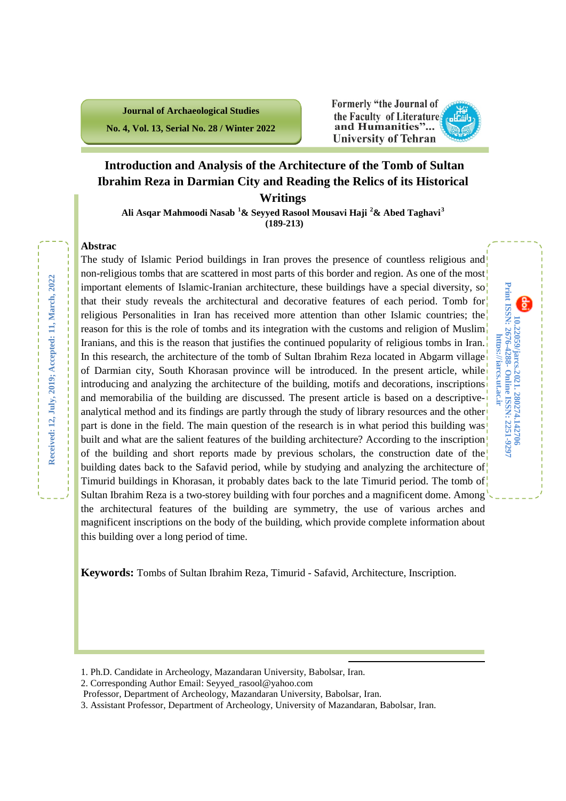**Journal of Archaeological Studies No. 4, Vol. 13, Serial No. 28 / Winter 2022**

### **Formerly "the Journal of** the Faculty of Literature and Humanities"... **University of Tehran**

**10.22059/jarcs.2021.**

10.22059/jarcs.2021. 280274.142706<br>Print ISSN: 2676-4288- Online ISSN: 2251-9297 https://jarcs.ut.ac.ir

**Print ISSN: 2676-4288-**

**280274.142706**

**Online ISSN: 2251-9297**

**https://jarcs.ut.ac.ir**

### **Introduction and Analysis of the Architecture of the Tomb of Sultan Ibrahim Reza in Darmian City and Reading the Relics of its Historical Writings**

**Ali Asqar Mahmoodi Nasab [1](#page-0-0) & Seyyed Rasool Mousavi Haji [2](#page-0-1) & Abed Taghavi[3](#page-0-2) (189-213)**

### **Abstrac**

The study of Islamic Period buildings in Iran proves the presence of countless religious and non-religious tombs that are scattered in most parts of this border and region. As one of the most important elements of Islamic-Iranian architecture, these buildings have a special diversity, so that their study reveals the architectural and decorative features of each period. Tomb for religious Personalities in Iran has received more attention than other Islamic countries; the reason for this is the role of tombs and its integration with the customs and religion of Muslim Iranians, and this is the reason that justifies the continued popularity of religious tombs in Iran. In this research, the architecture of the tomb of Sultan Ibrahim Reza located in Abgarm village of Darmian city, South Khorasan province will be introduced. In the present article, while introducing and analyzing the architecture of the building, motifs and decorations, inscriptions and memorabilia of the building are discussed. The present article is based on a descriptiveanalytical method and its findings are partly through the study of library resources and the other part is done in the field. The main question of the research is in what period this building was built and what are the salient features of the building architecture? According to the inscription! of the building and short reports made by previous scholars, the construction date of the building dates back to the Safavid period, while by studying and analyzing the architecture of Timurid buildings in Khorasan, it probably dates back to the late Timurid period. The tomb of Sultan Ibrahim Reza is a two-storey building with four porches and a magnificent dome. Among the architectural features of the building are symmetry, the use of various arches and magnificent inscriptions on the body of the building, which provide complete information about this building over a long period of time.

**Keywords:** Tombs of Sultan Ibrahim Reza, Timurid - Safavid, Architecture, Inscription.

**.** 

<span id="page-0-0"></span><sup>1.</sup> Ph.D. Candidate in Archeology, Mazandaran University, Babolsar, Iran.

<span id="page-0-1"></span><sup>2.</sup> Corresponding Author Email: Seyyed\_rasool@yahoo.com

Professor, Department of Archeology, Mazandaran University, Babolsar, Iran.

<span id="page-0-2"></span><sup>3.</sup> Assistant Professor, Department of Archeology, University of Mazandaran, Babolsar, Iran.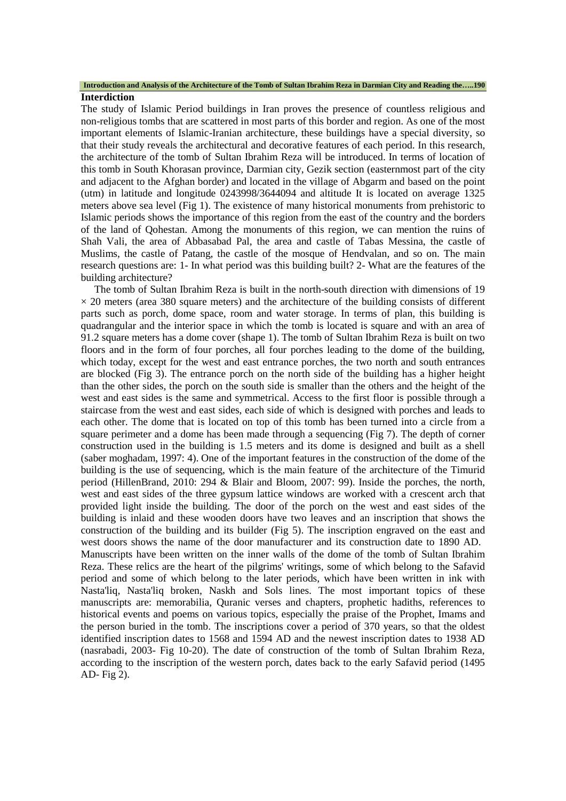#### **Introduction and Analysis of the Architecture of the Tomb of Sultan Ibrahim Reza in Darmian City and Reading the…..190 Interdiction**

The study of Islamic Period buildings in Iran proves the presence of countless religious and non-religious tombs that are scattered in most parts of this border and region. As one of the most important elements of Islamic-Iranian architecture, these buildings have a special diversity, so that their study reveals the architectural and decorative features of each period. In this research, the architecture of the tomb of Sultan Ibrahim Reza will be introduced. In terms of location of this tomb in South Khorasan province, Darmian city, Gezik section (easternmost part of the city and adjacent to the Afghan border) and located in the village of Abgarm and based on the point (utm) in latitude and longitude 0243998/3644094 and altitude It is located on average 1325 meters above sea level (Fig 1). The existence of many historical monuments from prehistoric to Islamic periods shows the importance of this region from the east of the country and the borders of the land of Qohestan. Among the monuments of this region, we can mention the ruins of Shah Vali, the area of Abbasabad Pal, the area and castle of Tabas Messina, the castle of Muslims, the castle of Patang, the castle of the mosque of Hendvalan, and so on. The main research questions are: 1- In what period was this building built? 2- What are the features of the building architecture?

The tomb of Sultan Ibrahim Reza is built in the north-south direction with dimensions of 19  $\times$  20 meters (area 380 square meters) and the architecture of the building consists of different parts such as porch, dome space, room and water storage. In terms of plan, this building is quadrangular and the interior space in which the tomb is located is square and with an area of 91.2 square meters has a dome cover (shape 1). The tomb of Sultan Ibrahim Reza is built on two floors and in the form of four porches, all four porches leading to the dome of the building, which today, except for the west and east entrance porches, the two north and south entrances are blocked (Fig 3). The entrance porch on the north side of the building has a higher height than the other sides, the porch on the south side is smaller than the others and the height of the west and east sides is the same and symmetrical. Access to the first floor is possible through a staircase from the west and east sides, each side of which is designed with porches and leads to each other. The dome that is located on top of this tomb has been turned into a circle from a square perimeter and a dome has been made through a sequencing (Fig 7). The depth of corner construction used in the building is 1.5 meters and its dome is designed and built as a shell (saber moghadam, 1997: 4). One of the important features in the construction of the dome of the building is the use of sequencing, which is the main feature of the architecture of the Timurid period (HillenBrand, 2010: 294 & Blair and Bloom, 2007: 99). Inside the porches, the north, west and east sides of the three gypsum lattice windows are worked with a crescent arch that provided light inside the building. The door of the porch on the west and east sides of the building is inlaid and these wooden doors have two leaves and an inscription that shows the construction of the building and its builder (Fig 5). The inscription engraved on the east and west doors shows the name of the door manufacturer and its construction date to 1890 AD. Manuscripts have been written on the inner walls of the dome of the tomb of Sultan Ibrahim Reza. These relics are the heart of the pilgrims' writings, some of which belong to the Safavid period and some of which belong to the later periods, which have been written in ink with Nasta'liq, Nasta'liq broken, Naskh and Sols lines. The most important topics of these manuscripts are: memorabilia, Quranic verses and chapters, prophetic hadiths, references to historical events and poems on various topics, especially the praise of the Prophet, Imams and the person buried in the tomb. The inscriptions cover a period of 370 years, so that the oldest identified inscription dates to 1568 and 1594 AD and the newest inscription dates to 1938 AD (nasrabadi, 2003- Fig 10-20). The date of construction of the tomb of Sultan Ibrahim Reza, according to the inscription of the western porch, dates back to the early Safavid period (1495 AD- Fig 2).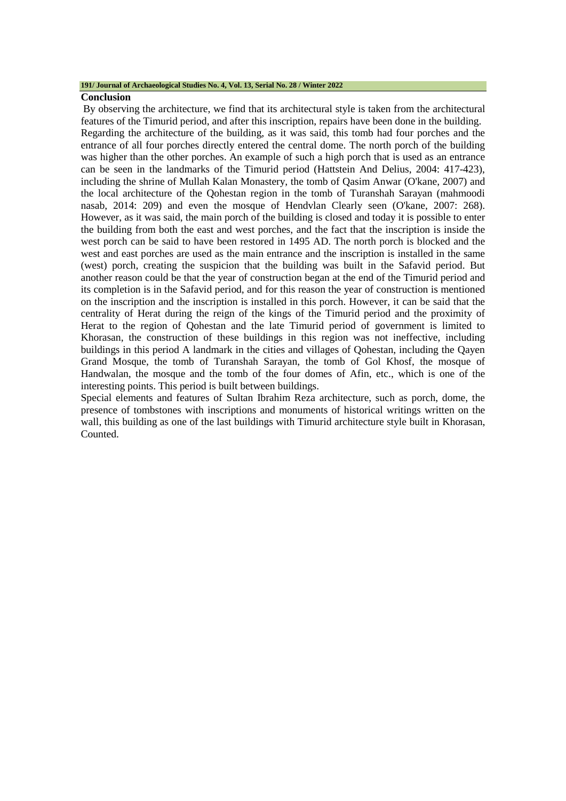#### **191/ Journal of Archaeological Studies No. 4, Vol. 13, Serial No. 28 / Winter 2022**

#### **Conclusion**

By observing the architecture, we find that its architectural style is taken from the architectural features of the Timurid period, and after this inscription, repairs have been done in the building. Regarding the architecture of the building, as it was said, this tomb had four porches and the entrance of all four porches directly entered the central dome. The north porch of the building was higher than the other porches. An example of such a high porch that is used as an entrance can be seen in the landmarks of the Timurid period (Hattstein And Delius, 2004: 417-423), including the shrine of Mullah Kalan Monastery, the tomb of Qasim Anwar (O'kane, 2007) and the local architecture of the Qohestan region in the tomb of Turanshah Sarayan (mahmoodi nasab, 2014: 209) and even the mosque of Hendvlan Clearly seen (O'kane, 2007: 268). However, as it was said, the main porch of the building is closed and today it is possible to enter the building from both the east and west porches, and the fact that the inscription is inside the west porch can be said to have been restored in 1495 AD. The north porch is blocked and the west and east porches are used as the main entrance and the inscription is installed in the same (west) porch, creating the suspicion that the building was built in the Safavid period. But another reason could be that the year of construction began at the end of the Timurid period and its completion is in the Safavid period, and for this reason the year of construction is mentioned on the inscription and the inscription is installed in this porch. However, it can be said that the centrality of Herat during the reign of the kings of the Timurid period and the proximity of Herat to the region of Qohestan and the late Timurid period of government is limited to Khorasan, the construction of these buildings in this region was not ineffective, including buildings in this period A landmark in the cities and villages of Qohestan, including the Qayen Grand Mosque, the tomb of Turanshah Sarayan, the tomb of Gol Khosf, the mosque of Handwalan, the mosque and the tomb of the four domes of Afin, etc., which is one of the interesting points. This period is built between buildings.

Special elements and features of Sultan Ibrahim Reza architecture, such as porch, dome, the presence of tombstones with inscriptions and monuments of historical writings written on the wall, this building as one of the last buildings with Timurid architecture style built in Khorasan, Counted.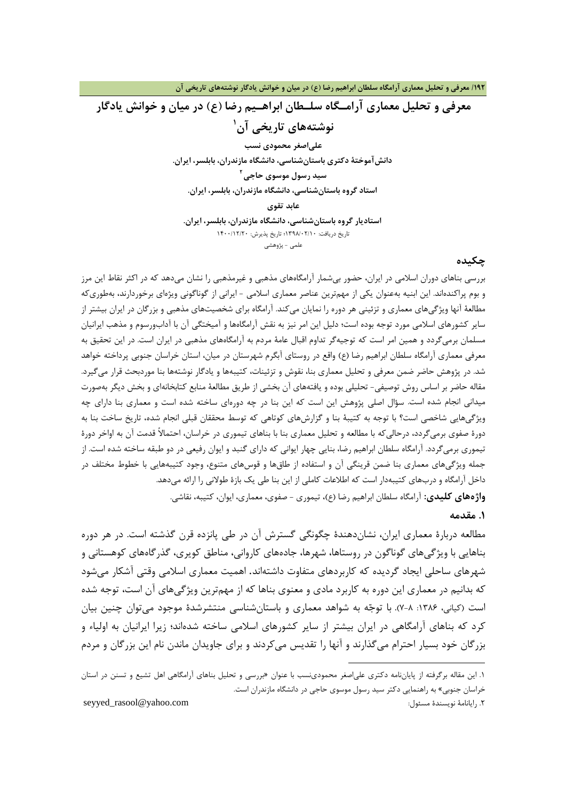**/192 معرفی و تحلیل معماري آرامگاه سلطان ابراهیم رضا (ع) در میان و خوانش یادگار نوشتههاي تاریخی آن**

**معرفی و تحلیل معماري آرامـگاه سلـطان ابراهـیم رضا (ع) در میان و خوانش یادگار [1](#page-3-0) نوشتههاي تاریخی آن علیاصغر محمودي نسب دانشآموختۀ دکتري باستانشناسی، دانشگاه مازندران، بابلسر، ایران. 2 سید رسول موسوي حاجی [ا](#page-3-1)ستاد گروه باستانشناسی، دانشگاه مازندران، بابلسر، ایران. عابد تقوي استادیار گروه باستانشناسی، دانشگاه مازندران، بابلسر، ایران.**

تاریخ دریافت: 1398/02/10؛ تاریخ پذیرش: 1400/12/20 علمی - پژوهشی

#### **چکیده**

بررسی بناهاي دوران اسلامی در ایران، حضور بیشمار آرامگاههاي مذهبی و غیرمذهبی را نشان میدهد که در اکثر نقاط این مرز و بوم پراکندهاند. این ابنیه بهعنوان یکی از مهمترین عناصر معماري اسلامی - ایرانی از گوناگونی ویژهاي برخوردارند، بهطوريکه مطالعۀ آنها ویژگیهاي معماري و تزئینی هر دوره را نمایان میکند. آرامگاه براي شخصیتهاي مذهبی و بزرگان در ایران بیشتر از سایر کشورهاي اسلامی مورد توجه بوده است؛ دلیل این امر نیز به نقش آرامگاهها و آمیختگی آن با آدابورسوم و مذهب ایرانیان مسلمان برمیگردد و همین امر است که توجیهگر تداوم اقبال عامۀ مردم به آرامگاههاي مذهبی در ایران است. در این تحقیق به معرفی معماري آرامگاه سلطان ابراهیم رضا (ع) واقع در روستاي آبگرم شهرستان در میان، استان خراسان جنوبی پرداخته خواهد شد. در پژوهش حاضر ضمن معرفی و تحلیل معماري بنا، نقوش و تزئینات، کتیبهها و یادگار نوشتهها بنا موردبحث قرار میگیرد. مقاله حاضر بر اساس روش توصیفی- تحلیلی بوده و یافتههاي آن بخشی از طریق مطالعۀ منابع کتابخانهاي و بخش دیگر بهصورت میدانی انجام شده است. سؤال اصلی پژوهش این است که این بنا در چه دورهاي ساخته شده است و معماري بنا داراي چه ویژگیهایی شاخصی است؟ با توجه به کتیبۀ بنا و گزارشهاي کوتاهی که توسط محققان قبلی انجام شده، تاریخ ساخت بنا به دورة صفوي برمیگردد، درحالیکه با مطالعه و تحلیل معماري بنا با بناهاي تیموري در خراسان، احتمالاً قدمت آن به اواخر دورة تیموري برمیگردد. آرامگاه سلطان ابراهیم رضا، بنایی چهار ایوانی که داراي گنبد و ایوان رفیعی در دو طبقه ساخته شده است. از جمله ویژگیهاي معماري بنا ضمن قرینگی آن و استفاده از طاقها و قوسهاي متنوع، وجود کتیبههایی با خطوط مختلف در داخل آرامگاه و دربهاي کتیبهدار است که اطلاعات کاملی از این بنا طی یک بازة طولانی را ارائه میدهد. **واژههاي کلیدي:** آرامگاه سلطان ابراهیم رضا (ع)، تیموري - صفوي، معماري، ایوان، کتیبه، نقاشی.

### **.1 مقدمه**

مطالعه دربارة معماري ایران، نشاندهندة چگونگی گسترش آن در طی پانزده قرن گذشته است. در هر دوره بناهایی با ویژگیهاي گوناگون در روستاها، شهرها، جادههاي کاروانی، مناطق کویري، گذرگاههاي کوهستانی و شهرهاي ساحلی ایجاد گردیده که کاربردهاي متفاوت داشتهاند. اهمیت معماري اسلامی وقتی آشکار میشود که بدانیم در معماري این دوره به کاربرد مادي و معنوي بناها که از مهمترین ویژگیهاي آن است، توجه شده است (کیانی، ۱۳۸۶: ۸-۷). با توجّه به شواهد معماری و باستانشناسی منتشرشدهٔ موجود میتوان چنین بیان کرد که بناهاي آرامگاهی در ایران بیشتر از سایر کشورهاي اسلامی ساخته شدهاند؛ زیرا ایرانیان به اولیاء و بزرگان خود بسیار احترام میگذارند و آنها را تقدیس میکردند و براي جاویدان ماندن نام این بزرگان و مردم

1

<span id="page-3-1"></span>seyyed\_rasool@yahoo.com :مسئول نویسندة رایانامۀ .2

<span id="page-3-0"></span><sup>.1</sup> این مقاله برگرفته از پایاننامه دکتري علیاصغر محمودينسب با عنوان «بررسی و تحلیل بناهاي آرامگاهی اهل تشیع و تسنن در استان خراسان جنوبی» به راهنمایی دکتر سید رسول موسوي حاجی در دانشگاه مازندران است.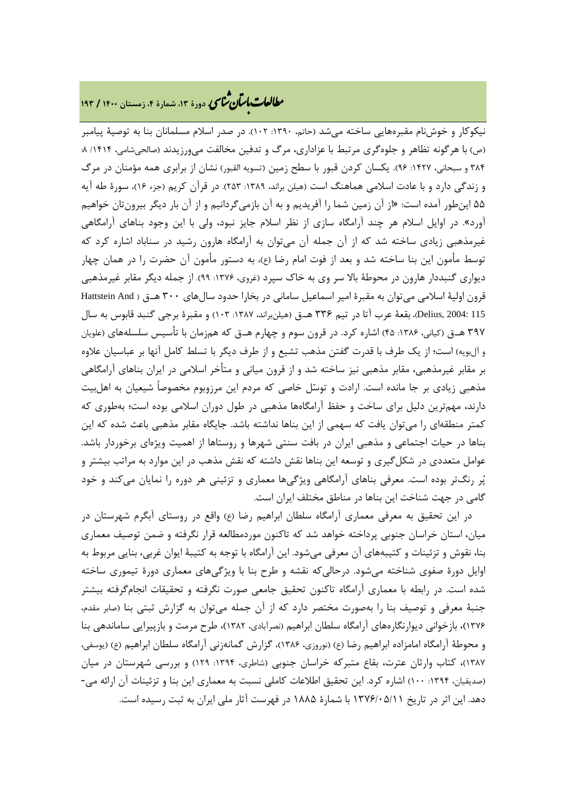## **، دورة ،13 شمارة ،4 زمستان <sup>1400</sup> / <sup>193</sup>** �نا� �طا ی �عات با�تان

نیکوکار و خوشنام مقبرههایی ساخته میشد (حاتم، :1390 102). در صدر اسلام مسلمانان بنا به توصیۀ پیامبر (ص) با هرگونه تظاهر و جلوهگري مرتبط با عزاداري، مرگ و تدفین مخالفت میورزیدند (صالحىشامى، /1414 :8 ۳۸۴ و سبحانی، ۱۴۲۷: ۹۶). یکسان کردن قبور با سطح زمین (تسویه القبور) نشان از برابری همه مؤمنان در مرگ و زندگی دارد و با عادت اسلامی هماهنگ است (هیلن براند، :1389 253). در قرآن کریم (جزء 16)، سورة طه آیه 55 اینطور آمده است: «از آن زمین شما را آفریدیم و به آن بازمیگردانیم و از آن بار دیگر بیرونتان خواهیم آورد». در اوایل اسلام هر چند آرامگاه سازي از نظر اسلام جایز نبود، ولی با این وجود بناهاي آرامگاهی غیرمذهبی زیادي ساخته شد که از آن جمله آن میتوان به آرامگاه هارون رشید در سناباد اشاره کرد که توسط مأمون این بنا ساخته شد و بعد از فوت امام رضا (ع)، به دستور مأمون آن حضرت را در همان چهار دیواري گنبددار هارون در محوطۀ بالا سر وي به خاك سپرد (غروي، :1376 99). از جمله دیگر مقابر غیرمذهبی قرون اولیۀ اسلامی میتوان به مقبرة امیر اسماعیل سامانی در بخارا حدود سالهاي 300 هـ.ق ( And Hattstein 115 2004: ,Delius(، بقعۀ عرب آتا در تیم 336 هـ.ق (هیلنبراند، :1387 103) و مقبرة برجی گنبد قابوس به سال ۳۹۷ هـ.ق (کیانی، ۱۳۸۶: ۴۵) اشاره کرد. در قرون سوم و چهارم هـ.ق که همزمان با تأسیس سلسلههای (علویان و آلبویه) است؛ از یک طرف با قدرت گفتن مذهب تشیع و از طرف دیگر با تسلط کامل آنها بر عباسیان علاوه بر مقابر غیرمذهبی، مقابر مذهبی نیز ساخته شد و از قرون میانی و متأخر اسلامی در ایران بناهاي آرامگاهی مذهبی زیادي بر جا مانده است. ارادت و توسل خاصی که مردم این مرزوبوم مخصوصاً شیعیان به اهلبیت دارند، مهمترین دلیل براي ساخت و حفظ آرامگاهها مذهبی در طول دوران اسلامی بوده است؛ بهطوري که کمتر منطقهاي را میتوان یافت که سهمی از این بناها نداشته باشد. جایگاه مقابر مذهبی باعث شده که این بناها در حیات اجتماعی و مذهبی ایران در بافت سنتی شهرها و روستاها از اهمیت ویژهاي برخوردار باشد. عوامل متعددي در شکلگیري و توسعه این بناها نقش داشته که نقش مذهب در این موارد به مراتب بیشتر و پر رنگتر بوده است. معرفی بناهاي آرامگاهی ویژگیها معماري و تزئینی هر دوره را نمایان میکند و خود گامی در جهت شناخت این بناها در مناطق مختلف ایران است.

در این تحقیق به معرفی معماري آرامگاه سلطان ابراهیم رضا (ع) واقع در روستاي آبگرم شهرستان در میان، استان خراسان جنوبی پرداخته خواهد شد که تاکنون موردمطالعه قرار نگرفته و ضمن توصیف معماري بنا، نقوش و تزئینات و کتیبههاي آن معرفی میشود. این آرامگاه با توجه به کتیبۀ ایوان غربی، بنایی مربوط به اوایل دورة صفوي شناخته میشود. درحالیکه نقشه و طرح بنا با ویژگیهاي معماري دورة تیموري ساخته شده است. در رابطه با معماري آرامگاه تاکنون تحقیق جامعی صورت نگرفته و تحقیقات انجامگرفته بیشتر جنبۀ معرفی و توصیف بنا را بهصورت مختصر دارد که از آن جمله میتوان به گزارش ثبتی بنا (صابر مقدم، 1376)، بازخوانی دیوارنگارههاي آرامگاه سلطان ابراهیم (نصرآبادي، 1382)، طرح مرمت و بازپیرایی ساماندهی بنا و محوطۀ آرامگاه امامزاده ابراهیم رضا (ع) (نوروزي، 1386)، گزارش گمانهزنی آرامگاه سلطان ابراهیم (ع) (یوسفی، 1387)، کتاب وارثان عترت، بقاع متبرکه خراسان جنوبی (شاطري، :1394 129) و بررسی شهرستان در میان (صدیقیان، :1394 100) اشاره کرد. این تحقیق اطلاعات کاملی نسبت به معماري این بنا و تزئینات آن ارائه می- دهد. این اثر در تاریخ 1376/05/11 با شمارة 1885 در فهرست آثار ملی ایران به ثبت رسیده است.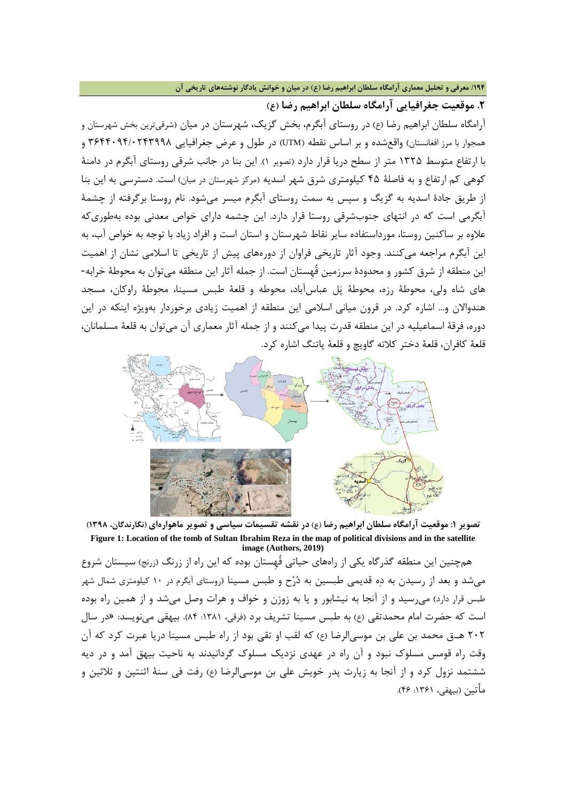**/194 معرفی و تحلیل معماري آرامگاه سلطان ابراهیم رضا (ع) در میان و خوانش یادگار نوشتههاي تاریخی آن**

**.2 موقعیت جغرافیایی آرامگاه سلطان ابراهیم رضا (ع)**

آرامگاه سلطان ابراهیم رضا (ع) در روستاي آبگرم، بخش گزیک، شهرستان در میان (شرقیترین بخش شهرستان و همجوار با مرز افغانستان) واقعشده و بر اساس نقطه (UTM (در طول و عرض جغرافیایی 3644094/0243998 و با ارتفاع متوسط 1325 متر از سطح دریا قرار دارد (تصویر 1). این بنا در جانب شرقی روستاي آبگرم در دامنۀ کوهی کم ارتفاع و به فاصلۀ 45 کیلومتري شرق شهر اسدیه (مرکز شهرستان در میان) است. دسترسی به این بنا از طریق جادة اسدیه به گزیگ و سپس به سمت روستاي آبگرم میسر میشود. نام روستا برگرفته از چشمۀ آبگرمی است که در انتهاي جنوبشرقی روستا قرار دارد. این چشمه داراي خواص معدنی بوده بهطوريکه علاوه بر ساکنین روستا، مورداستفاده سایر نقاط شهرستان و استان است و افراد زیاد با توجه به خواص آب، به این آبگرم مراجعه میکنند. وجود آثار تاریخی فراوان از دورههاي پیش از تاریخی تا اسلامی نشان از اهمیت این منطقه از شرق کشور و محدودة سرزمین قُهِستان است. از جمله آثار این منطقه میتوان به محوطۀ خرابه- هاي شاه ولی، محوطۀ رزه، محوطۀ پل عباسآباد، محوطه و قلعۀ طبس مسینا، محوطۀ راوکان، مسجد هندوالان و... اشاره کرد. در قرون میانی اسلامی این منطقه از اهمیت زیادي برخوردار بهویژه اینکه در این دوره، فرقۀ اسماعیلیه در این منطقه قدرت پیدا میکنند و از جمله آثار معماري آن میتوان به قلعۀ مسلمانان، قلعۀ کافران، قلعۀ دختر کلاته گاویچ و قلعۀ پاتنگ اشاره کرد.



**تصویر :1 موقعیت آرامگاه سلطان ابراهیم رضا (ع) در نقشه تقسیمات سیاسی و تصویر ماهوارهاي (نگارندگان، 1398) Figure 1: Location of the tomb of Sultan Ibrahim Reza in the map of political divisions and in the satellite image (Authors, 2019)**

همچنین این منطقه گذرگاه یکی از راههاي حیاتی قُهِستان بوده که این راه از زرنگ (زرنج) سیستان شروع میشد و بعد از رسیدن به ده قدیمی طبسین به درح و طبس مسینا (روستاي آبگرم در 10 کیلومتري شمال شهر طبس قرار دارد) میرسید و از آنجا به نیشابور و یا به زوزن و خواف و هرات وصل میشد و از همین راه بوده است که حضرت امام محمدتقی (ع) به طبس مسینا تشریف برد (فرقی، :1381 84). بیهقی مینویسد: «در سال 202 هـ.ق محمد بن على بن موسیالرضا (ع) که لقب او تقى بود از راه طبس مسینا دریا عبرت کرد که آن وقت راه قومس مسلوك نبود و آن راه در عهدى نزدیک مسلوك گردانیدند به ناحیت بیهق آمد و در دیه ششتمد نزول کرد و از آنجا به زیارت پدر خویش على بن موسیالرضا (ع) رفت فى سنۀ اثنتین و ثلاثین و مأتین (بیهقی، :1361 46).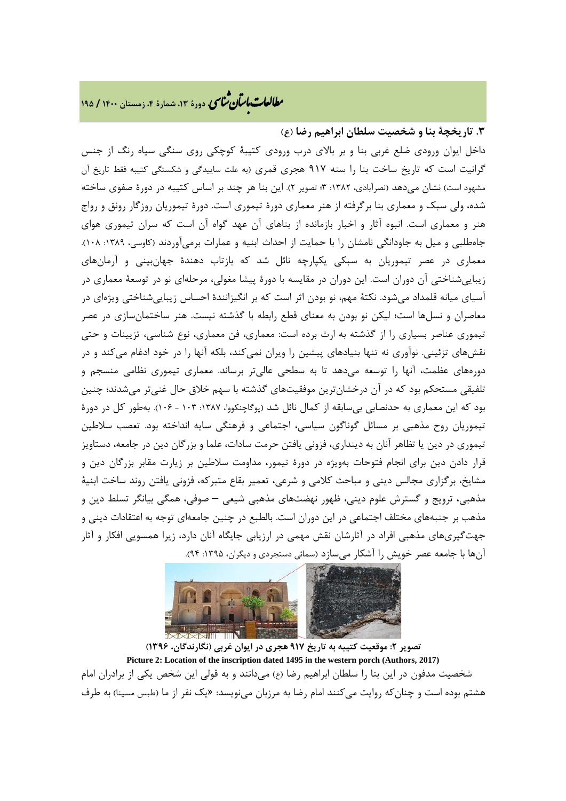## **، دورة ،13 شمارة ،4 زمستان <sup>1400</sup> / <sup>195</sup>** �نا� �طا ی �عات با�تان

### **.3 تاریخچۀ بنا و شخصیت سلطان ابراهیم رضا (ع)**

داخل ایوان ورودي ضلع غربی بنا و بر بالاي درب ورودي کتیبۀ کوچکی روي سنگی سیاه رنگ از جنس گرانیت است که تاریخ ساخت بنا را سنه 917 هجري قمري (به علت ساییدگی و شکستگی کتیبه فقط تاریخ آن مشهود است) نشان میدهد (نصرآبادي، :1382 3؛ تصویر 2). این بنا هر چند بر اساس کتیبه در دورة صفوي ساخته شده، ولی سبک و معماري بنا برگرفته از هنر معماري دورة تیموري است. دورة تیموریان روزگار رونق و رواج هنر و معماري است. انبوه آثار و اخبار بازمانده از بناهاي آن عهد گواه آن است که سران تیموري هواي جاهطلبی و میل به جاودانگی نامشان را با حمایت از احداث ابنیه و عمارات برمیآوردند (کاوسی، ۱۳۸۹: ۱۰۸). معماري در عصر تیموریان به سبکی یکپارچه نائل شد که بازتاب دهندة جهانبینی و آرمانهاي زیباییشناختی آن دوران است. این دوران در مقایسه با دورة پیشا مغولی، مرحلهاي نو در توسعۀ معماري در آسیاي میانه قلمداد میشود. نکتۀ مهم، نو بودن اثر است که بر انگیزانندة احساس زیباییشناختی ویژهاي در معاصران و نسلها است؛ لیکن نو بودن به معناي قطع رابطه با گذشته نیست. هنر ساختمانسازي در عصر تیموري عناصر بسیاري را از گذشته به ارث برده است: معماري، فن معماري، نوع شناسی، تزیینات و حتی نقشهاي تزئینی. نوآوري نه تنها بنیادهاي پیشین را ویران نمیکند، بلکه آنها را در خود ادغام میکند و در دورههاي عظمت، آنها را توسعه میدهد تا به سطحی عالیتر برساند. معماري تیموري نظامی منسجم و تلفیقی مستحکم بود که در آن درخشانترین موفقیتهاي گذشته با سهم خلاق حال غنیتر میشدند؛ چنین بود که این معماري به حدنصابی بیسابقه از کمال نائل شد (پوگاچنکووا، :1387 103 - 106). بهطور کل در دورة تیموریان روح مذهبی بر مسائل گوناگون سیاسی، اجتماعی و فرهنگی سایه انداخته بود. تعصب سلاطین تیموري در دین یا تظاهر آنان به دینداري، فزونی یافتن حرمت سادات، علما و بزرگان دین در جامعه، دستاویز قرار دادن دین براي انجام فتوحات بهویژه در دورة تیمور، مداومت سلاطین بر زیارت مقابر بزرگان دین و مشایخ، برگزاري مجالس دینی و مباحث کلامی و شرعی، تعمیر بقاع متبرکه، فزونی یافتن روند ساخت ابنیۀ مذهبی، ترویج و گسترش علوم دینی، ظهور نهضتهاي مذهبی شیعی – صوفی، همگی بیانگر تسلط دین و مذهب بر جنبههاي مختلف اجتماعی در این دوران است. بالطبع در چنین جامعهاي توجه به اعتقادات دینی و جهتگیريهاي مذهبی افراد در آثارشان نقش مهمی در ارزیابی جایگاه آنان دارد، زیرا همسویی افکار و آثار آنها با جامعه عصر خویش را آشکار میسازد (سمائی دستجردي و دیگران، :1395 94).



**تصویر :2 موقعیت کتیبه به تاریخ 917 هجري در ایوان غربی (نگارندگان، 1396) Picture 2: Location of the inscription dated 1495 in the western porch (Authors, 2017)** شخصیت مدفون در این بنا را سلطان ابراهیم رضا (ع) میدانند و به قولی این شخص یکی از برادران امام هشتم بوده است و چنانکه روایت میکنند امام رضا به مرزبان مینویسد: «یک نفر از ما (طبس مسینا) به طرف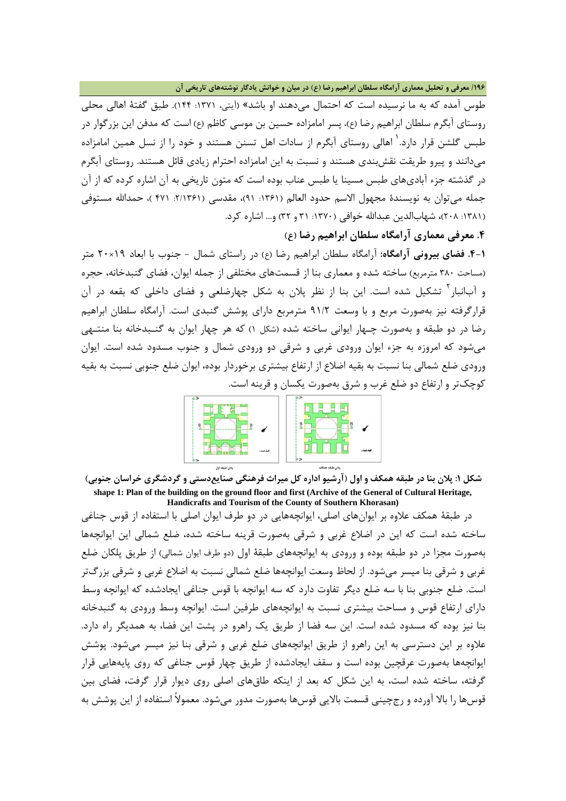**/196 معرفی و تحلیل معماري آرامگاه سلطان ابراهیم رضا (ع) در میان و خوانش یادگار نوشتههاي تاریخی آن**

طوس آمده که به ما نرسیده است که احتمال میدهند او باشد» (آیتی، :1371 144). طبق گفتۀ اهالی محلی روستاي آبگرم سلطان ابراهیم رضا (ع)، پسر امامزاده حسین بن موسی کاظم (ع) است که مدفن این بزرگوار در طبس گلشن قرار دارد. ٰ اهالی روستای آبگرم از سادات اهل تسنن هستند و خود را از نسل همین امامزاده میدانند و پیرو طریقت نقشبندي هستند و نسبت به این امامزاده احترام زیادي قائل هستند. روستاي آبگرم در گذشته جزء آباديهاي طبس مسینا یا طبس عناب بوده است که متون تاریخی به آن اشاره کرده که از آن جمله میتوان به نویسندهٔ مجهول الاسم حدود العالم (۱۳۶۱: ۹۱)، مقدسی (۲/۱۳۶۱ ۴۷۱ )، حمدالله مستوفی (١٣٨١: ٢٠٨)، شهابالدین عبدالله خوافی (١٣٧٠: ٣١ و ٣٢) و... اشاره کرد.

**.4 معرفی معماري آرامگاه سلطان ابراهیم رضا (ع)**

**.4-1 فضاي بیرونی آرامگاه:** آرامگاه سلطان ابراهیم رضا (ع) در راستاي شمال - جنوب با ابعاد 19×20 متر (مساحت 380 مترمربع) ساخته شده و معماري بنا از قسمتهاي مختلفی از جمله ایوان، فضاي گنبدخانه، حجره و آبانبار<sup>۲</sup> تشکیل شده است. این بنا از نظر پلان به شکل چهارضلعی و فضای داخلی که بقعه در آن قرارگرفته نیز بهصورت مربع و با وسعت 91/2 مترمربع داراي پوشش گنبدي است. آرامگاه سلطان ابراهیم رضا در دو طبقه و بهصورت چـهار ایوانی ساخته شده (شکل 1) که هر چهار ایوان به گنـبدخانه بنا منتـهی میشود که امروزه به جزء ایوان ورودي غربی و شرقی دو ورودي شمال و جنوب مسدود شده است. ایوان ورودي ضلع شمالی بنا نسبت به بقیه اضلاع از ارتفاع بیشتري برخوردار بوده، ایوان ضلع جنوبی نسبت به بقیه کوچکتر و ارتفاع دو ضلع غرب و شرق بهصورت یکسان و قرینه است.



**شکل :1 پلان بنا در طبقه همکف و اول (آرشیو اداره کل میراث فرهنگی صنایعدستی و گردشگري خراسان جنوبی) shape 1: Plan of the building on the ground floor and first (Archive of the General of Cultural Heritage, Handicrafts and Tourism of the County of Southern Khorasan)**

در طبقۀ همکف علاوه بر ایوانهاي اصلی، ایوانچههایی در دو طرف ایوان اصلی با استفاده از قوس جناغی ساخته شده است که این در اضلاع غربی و شرقی بهصورت قرینه ساخته شده، ضلع شمالی این ایوانچهها بهصورت مجزا در دو طبقه بوده و ورودي به ایوانچههاي طبقۀ اول (دو طرف ایوان شمالی) از طریق پلکان ضلع غربی و شرقی بنا میسر میشود. از لحاظ وسعت ایوانچهها ضلع شمالی نسبت به اضلاع غربی و شرقی بزرگتر است. ضلع جنوبی بنا با سه ضلع دیگر تفاوت دارد که سه ایوانچه با قوس جناغی ایجادشده که ایوانچه وسط داراي ارتفاع قوس و مساحت بیشتري نسبت به ایوانچههاي طرفین است. ایوانچه وسط ورودي به گنبدخانه بنا نیز بوده که مسدود شده است. این سه فضا از طریق یک راهرو در پشت این فضا، به همدیگر راه دارد. علاوه بر این دسترسی به این راهرو از طریق ایوانچههاي ضلع غربی و شرقی بنا نیز میسر میشود. پوشش ایوانچهها بهصورت عرقچین بوده است و سقف ایجادشده از طریق چهار قوس جناغی که روي پایههایی قرار گرفته، ساخته شده است، به این شکل که بعد از اینکه طاقهاي اصلی روي دیوار قرار گرفت، فضاي بین قوسها را بالا آورده و رجچینی قسمت بالایی قوسها بهصورت مدور میشود. معمولاً استفاده از این پوشش به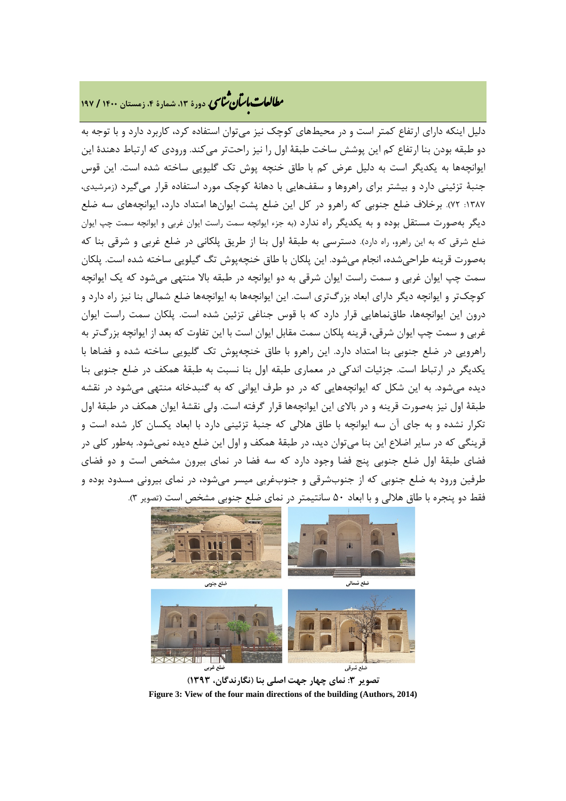# **، دورة ،13 شمارة ،4 زمستان <sup>1400</sup> / <sup>197</sup>** �نا� �طا ی �عات با�تان

دلیل اینکه داراي ارتفاع کمتر است و در محیطهاي کوچک نیز میتوان استفاده کرد، کاربرد دارد و با توجه به دو طبقه بودن بنا ارتفاع کم این پوشش ساخت طبقۀ اول را نیز راحتتر میکند. ورودي که ارتباط دهندة این ایوانچهها به یکدیگر است به دلیل عرض کم با طاق خنچه پوش تک گلیویی ساخته شده است. این قوس جنبۀ تزئینی دارد و بیشتر براي راهروها و سقفهایی با دهانۀ کوچک مورد استفاده قرار میگیرد (زمرشیدي، :1387 72). برخلاف ضلع جنوبی که راهرو در کل این ضلع پشت ایوانها امتداد دارد، ایوانچههاي سه ضلع دیگر بهصورت مستقل بوده و به یکدیگر راه ندارد (به جزء ایوانچه سمت راست ایوان غربی و ایوانچه سمت چپ ایوان ضلع شرقی که به این راهرو، راه دارد). دسترسی به طبقۀ اول بنا از طریق پلکانی در ضلع غربی و شرقی بنا که بهصورت قرینه طراحیشده، انجام میشود. این پلکان با طاق خنچهپوش تگ گیلویی ساخته شده است. پلکان سمت چپ ایوان غربی و سمت راست ایوان شرقی به دو ایوانچه در طبقه بالا منتهی میشود که یک ایوانچه کوچکتر و ایوانچه دیگر داراي ابعاد بزرگتري است. این ایوانچهها به ایوانچهها ضلع شمالی بنا نیز راه دارد و درون این ایوانچهها، طاقنماهایی قرار دارد که با قوس جناغی تزئین شده است. پلکان سمت راست ایوان غربی و سمت چپ ایوان شرقی، قرینه پلکان سمت مقابل ایوان است با این تفاوت که بعد از ایوانچه بزرگتر به راهرویی در ضلع جنوبی بنا امتداد دارد. این راهرو با طاق خنچهپوش تک گلیویی ساخته شده و فضاها با یکدیگر در ارتباط است. جزئیات اندکی در معماري طبقه اول بنا نسبت به طبقۀ همکف در ضلع جنوبی بنا دیده میشود. به این شکل که ایوانچههایی که در دو طرف ایوانی که به گنبدخانه منتهی میشود در نقشه طبقۀ اول نیز بهصورت قرینه و در بالاي این ایوانچهها قرار گرفته است. ولی نقشۀ ایوان همکف در طبقۀ اول تکرار نشده و به جاي آن سه ایوانچه با طاق هلالی که جنبۀ تزئینی دارد با ابعاد یکسان کار شده است و قرینگی که در سایر اضلاع این بنا میتوان دید، در طبقۀ همکف و اول این ضلع دیده نمیشود. بهطور کلی در فضاي طبقۀ اول ضلع جنوبی پنج فضا وجود دارد که سه فضا در نماي بیرون مشخص است و دو فضاي طرفین ورود به ضلع جنوبی که از جنوبشرقی و جنوبغربی میسر میشود، در نماي بیرونی مسدود بوده و فقط دو پنجره با طاق هلالی و با ابعاد 50 سانتیمتر در نماي ضلع جنوبی مشخص است (تصویر 3).



**تصویر :3 نماي چهار جهت اصلی بنا (نگارندگان، 1393) Figure 3: View of the four main directions of the building (Authors, 2014)**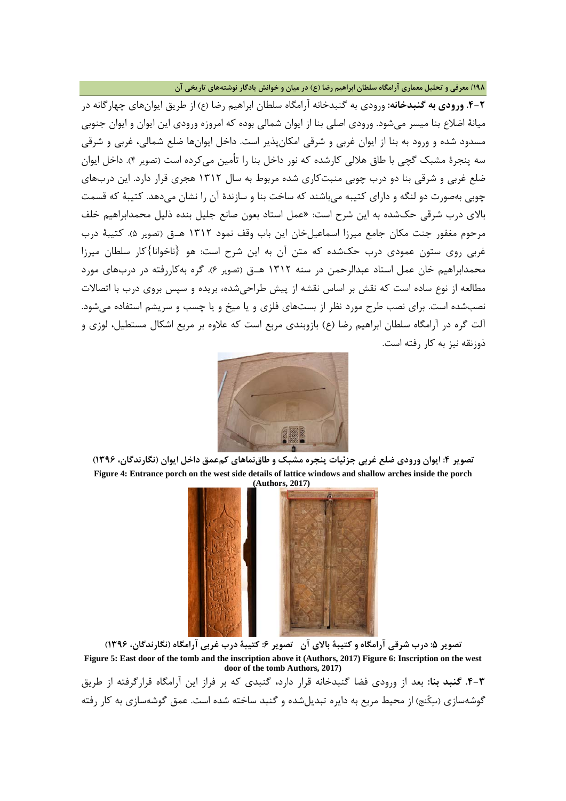### **/198 معرفی و تحلیل معماري آرامگاه سلطان ابراهیم رضا (ع) در میان و خوانش یادگار نوشتههاي تاریخی آن**

**.4-2 ورودي به گنبدخانه:** ورودي به گنبدخانه آرامگاه سلطان ابراهیم رضا (ع) از طریق ایوانهاي چهارگانه در میانۀ اضلاع بنا میسر میشود. ورودي اصلی بنا از ایوان شمالی بوده که امروزه ورودي این ایوان و ایوان جنوبی مسدود شده و ورود به بنا از ایوان غربی و شرقی امکانپذیر است. داخل ایوانها ضلع شمالی، غربی و شرقی سه پنجرة مشبک گچی با طاق هلالی کارشده که نور داخل بنا را تأمین میکرده است (تصویر 4). داخل ایوان ضلع غربی و شرقی بنا دو درب چوبی منبتکاري شده مربوط به سال 1312 هجري قرار دارد. این دربهاي چوبی بهصورت دو لنگه و داراي کتیبه میباشند که ساخت بنا و سازندة آن را نشان میدهد. کتیبۀ که قسمت بالاي درب شرقی حکشده به این شرح است: «عمل استاد بعون صانع جلیل بنده ذلیل محمدابراهیم خلف مرحوم مغفور جنت مکان جامع میرزا اسماعیلخان این باب وقف نمود 1312 هـ.ق (تصویر 5). کتیبۀ درب غربی روي ستون عمودي درب حکشده که متن آن به این شرح است: هو {ناخوانا}کار سلطان میرزا محمدابراهیم خان عمل استاد عبدالرحمن در سنه 1312 هـ.ق (تصویر 6). گره بهکاررفته در دربهاي مورد مطالعه از نوع ساده است که نقش بر اساس نقشه از پیش طراحیشده، بریده و سپس بروي درب با اتصالات نصبشده است. براي نصب طرح مورد نظر از بستهاي فلزي و یا میخ و یا چسب و سریشم استفاده میشود. آلت گره در آرامگاه سلطان ابراهیم رضا (ع) بازوبندي مربع است که علاوه بر مربع اشکال مستطیل، لوزي و ذوزنقه نیز به کار رفته است.







تصویر ۵: درب شرقی آرامگاه و کتیبۀ بالای آن تصویر ۶: کتیبۀ درب غربی آرامگاه (نگارندگان، ۱۳۹۶) **Figure 5: East door of the tomb and the inscription above it (Authors, 2017) Figure 6: Inscription on the west door of the tomb Authors, 2017)**

**.4-3 گنبد بنا:** بعد از ورودي فضا گنبدخانه قرار دارد، گنبدي که بر فراز این آرامگاه قرارگرفته از طریق گوشهسازي (سکُنج) از محیط مربع به دایره تبدیلشده و گنبد ساخته شده است. عمق گوشهسازي به کار رفته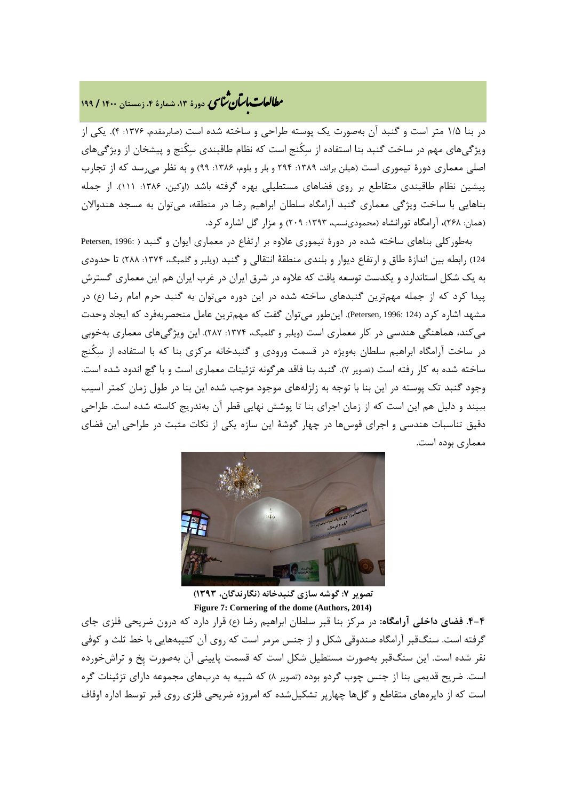# **، دورة ،13 شمارة ،4 زمستان <sup>1400</sup> / <sup>199</sup>** �نا� �طا ی �عات با�تان

در بنا 1/5 متر است و گنبد آن بهصورت یک پوسته طراحی و ساخته شده است (صابرمقدم، :1376 4). یکی از ویژگیهاي مهم در ساخت گنبد بنا استفاده از سکُنج است که نظام طاقبندي سکُنج و پیشخان از ویژگیهاي اصلی معماری دورهٔ تیموری است (هیلن براند، ١٣٨٩: ٢٩۴ و بلر و بلوم، ١٣٨۶: ٩٩) و به نظر می رسد که از تجارب پیشین نظام طاقبندی متقاطع بر روی فضاهای مستطیلی بهره گرفته باشد (اوکین، ۱۳۸۶: ۱۱۱). از جمله بناهایی با ساخت ویژگی معماري گنبد آرامگاه سلطان ابراهیم رضا در منطقه، میتوان به مسجد هندوالان (همان: 268)، آرامگاه تورانشاه (محمودينسب، :1393 209) و مزار گل اشاره کرد.

بهطورکلی بناهاي ساخته شده در دورة تیموري علاوه بر ارتفاع در معماري ایوان و گنبد ( 1996: ,Petersen 124) رابطه بین اندازۀ طاق و ارتفاع دیوار و بلندي منطقۀ انتقالی و گنبد (ویلبر و گلمبگ، ١٣٧۴: ٢٨٨) تا حدودي به یک شکل استاندارد و یکدست توسعه یافت که علاوه در شرق ایران در غرب ایران هم این معماري گسترش پیدا کرد که از جمله مهمترین گنبدهاي ساخته شده در این دوره میتوان به گنبد حرم امام رضا (ع) در مشهد اشاره کرد (124 1996: ,Petersen(. اینطور میتوان گفت که مهمترین عامل منحصربهفرد که ایجاد وحدت میکند، هماهنگی هندسی در کار معماري است (ویلبر و گلمبگ، :1374 287). این ویژگیهاي معماري بهخوبی در ساخت آرامگاه ابراهیم سلطان بهویژه در قسمت ورودي و گنبدخانه مرکزي بنا که با استفاده از سکُنج ساخته شده به کار رفته است (تصویر 7). گنبد بنا فاقد هرگونه تزئینات معماري است و با گچ اندود شده است. وجود گنبد تک پوسته در این بنا با توجه به زلزلههاي موجود موجب شده این بنا در طول زمان کمتر آسیب ببیند و دلیل هم این است که از زمان اجراي بنا تا پوشش نهایی قطر آن بهتدریج کاسته شده است. طراحی دقیق تناسبات هندسی و اجراي قوسها در چهار گوشۀ این سازه یکی از نکات مثبت در طراحی این فضاي معماري بوده است.



**تصویر :7 گوشه سازي گنبدخانه (نگارندگان، 1393) Figure 7: Cornering of the dome (Authors, 2014)**

**.4-4 فضاي داخلی آرامگاه:** در مرکز بنا قبر سلطان ابراهیم رضا (ع) قرار دارد که درون ضریحی فلزي جاي گرفته است. سنگقبر آرامگاه صندوقی شکل و از جنس مرمر است که روي آن کتیبههایی با خط ثلث و کوفی نقر شده است. این سنگقبر بهصورت مستطیل شکل است که قسمت پایینی آن بهصورت پِخ و تراشخورده است. ضریح قدیمی بنا از جنس چوب گردو بوده (تصویر 8) که شبیه به دربهاي مجموعه داراي تزئینات گره است که از دایرههاي متقاطع و گلها چهارپر تشکیلشده که امروزه ضریحی فلزي روي قبر توسط اداره اوقاف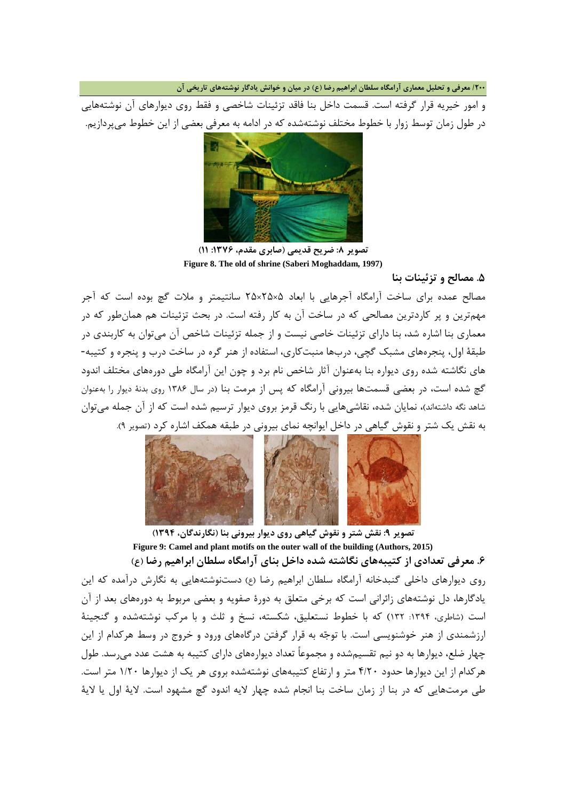**/200 معرفی و تحلیل معماري آرامگاه سلطان ابراهیم رضا (ع) در میان و خوانش یادگار نوشتههاي تاریخی آن**

و امور خیریه قرار گرفته است. قسمت داخل بنا فاقد تزئینات شاخصی و فقط روي دیوارهاي آن نوشتههایی در طول زمان توسط زوار با خطوط مختلف نوشتهشده که در ادامه به معرفی بعضی از این خطوط میپردازیم.



**تصویر :8 ضریح قدیمی (صابري مقدم، :1376 11) Figure 8. The old of shrine (Saberi Moghaddam, 1997)**

**.5 مصالح و تزئینات بنا**

مصالح عمده براي ساخت آرامگاه آجرهایی با ابعاد 5×25×25 سانتیمتر و ملات گچ بوده است که آجر مهمترین و پر کاردترین مصالحی که در ساخت آن به کار رفته است. در بحث تزئینات هم همانطور که در معماري بنا اشاره شد، بنا داراي تزئینات خاصی نیست و از جمله تزئینات شاخص آن میتوان به کاربندي در طبقۀ اول، پنجرههاي مشبک گچی، دربها منبتکاري، استفاده از هنر گره در ساخت درب و پنجره و کتیبه- هاي نگاشته شده روي دیواره بنا بهعنوان آثار شاخص نام برد و چون این آرامگاه طی دورههاي مختلف اندود گچ شده است، در بعضی قسمتها بیرونی آرامگاه که پس از مرمت بنا (در سال 1386 روي بدنۀ دیوار را بهعنوان شاهد نگه داشتهاند)، نمایان شده، نقاشیهایی با رنگ قرمز بروي دیوار ترسیم شده است که از آن جمله میتوان به نقش یک شتر و نقوش گیاهی در داخل ایوانچه نماي بیرونی در طبقه همکف اشاره کرد (تصویر 9).



**تصویر :9 نقش شتر و نقوش گیاهی روي دیوار بیرونی بنا (نگارندگان، 1394) Figure 9: Camel and plant motifs on the outer wall of the building (Authors, 2015) .6 معرفی تعدادي از کتیبههاي نگاشته شده داخل بناي آرامگاه سلطان ابراهیم رضا (ع)** روي دیوارهاي داخلی گنبدخانه آرامگاه سلطان ابراهیم رضا (ع) دستنوشتههایی به نگارش درآمده که این یادگارها، دل نوشتههاي زائرانی است که برخی متعلق به دورة صفویه و بعضی مربوط به دورههاي بعد از آن است (شاطری، ۱۳۹۴: ۱۳۲) که با خطوط نستعلیق، شکسته، نسخ و ثلث و با مرکب نوشتهشده و گنجینۀ ارزشمندي از هنر خوشنویسی است. با توجه به قرار گرفتن درگاههاي ورود و خروج در وسط هرکدام از این چهار ضلع، دیوارها به دو نیم تقسیمشده و مجموعاً تعداد دیوارههاي داراي کتیبه به هشت عدد میرسد. طول هرکدام از این دیوارها حدود 4/20 متر و ارتفاع کتیبههاي نوشتهشده بروي هر یک از دیوارها 1/20 متر است. طی مرمتهایی که در بنا از زمان ساخت بنا انجام شده چهار لایه اندود گچ مشهود است. لایۀ اول یا لایۀ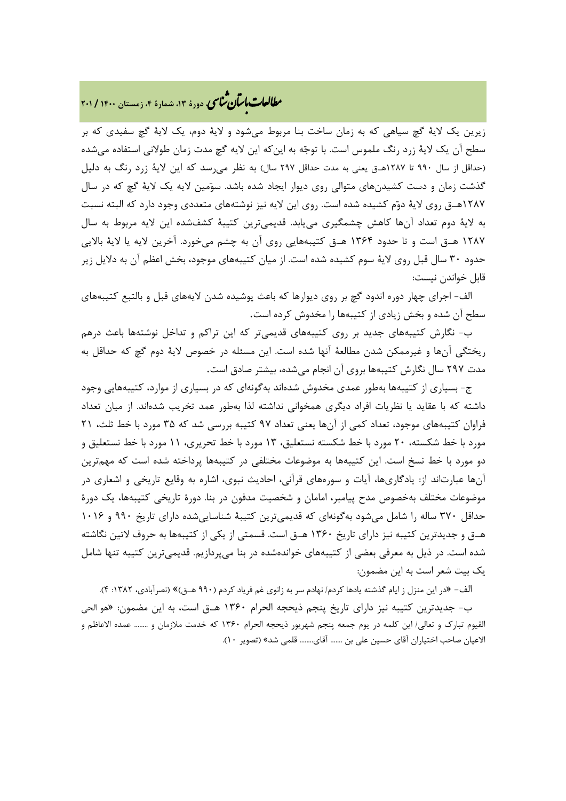## **، دورة ،13 شمارة ،4 زمستان <sup>1400</sup> / <sup>201</sup>** �نا� �طا ی �عات با�تان

زیرین یک لایۀ گچ سیاهی که به زمان ساخت بنا مربوط میشود و لایۀ دوم، یک لایۀ گچ سفیدي که بر سطح آن یک لایۀ زرد رنگ ملموس است. با توجه به اینکه این لایه گچ مدت زمان طولانی استفاده میشده (حداقل از سال 990 تا 1287هـ.ق یعنی به مدت حداقل 297 سال) به نظر میرسد که این لایۀ زرد رنگ به دلیل گذشت زمان و دست کشیدنهاي متوالی روي دیوار ایجاد شده باشد. سومین لایه یک لایۀ گچ که در سال 1287هـ.ق روي لایۀ دوم کشیده شده است. روي این لایه نیز نوشتههاي متعددي وجود دارد که البته نسبت به لایۀ دوم تعداد آنها کاهش چشمگیري مییابد. قدیمیترین کتیبۀ کشفشده این لایه مربوط به سال 1287 هـ.ق است و تا حدود 1364 هـ.ق کتیبههایی روي آن به چشم میخورد. آخرین لایه یا لایۀ بالایی حدود 30 سال قبل روي لایۀ سوم کشیده شده است. از میان کتیبههاي موجود، بخش اعظم آن به دلایل زیر قابل خواندن نیست:

الف- اجراي چهار دوره اندود گچ بر روي دیوارها که باعث پوشیده شدن لایههاي قبل و بالتبع کتیبههاي سطح آن شده و بخش زیادي از کتیبهها را مخدوش کرده است.

ب- نگارش کتیبههاي جدید بر روي کتیبههاي قدیمیتر که این تراکم و تداخل نوشتهها باعث درهم ریختگی آنها و غیرممکن شدن مطالعۀ آنها شده است. این مسئله در خصوص لایۀ دوم گچ که حداقل به مدت 297 سال نگارش کتیبهها بروي آن انجام میشده، بیشتر صادق است.

ج- بسیاري از کتیبهها بهطور عمدي مخدوش شدهاند بهگونهاي که در بسیاري از موارد، کتیبههایی وجود داشته که با عقاید یا نظریات افراد دیگري همخوانی نداشته لذا بهطور عمد تخریب شدهاند. از میان تعداد فراوان کتیبههاي موجود، تعداد کمی از آنها یعنی تعداد 97 کتیبه بررسی شد که 35 مورد با خط ثلث، 21 مورد با خط شکسته، 20 مورد با خط شکسته نستعلیق، 13 مورد با خط تحریري، 11 مورد با خط نستعلیق و دو مورد با خط نسخ است. این کتیبهها به موضوعات مختلفی در کتیبهها پرداخته شده است که مهمترین آنها عبارتاند از: یادگاريها، آیات و سورههاي قرآنی، احادیث نبوي، اشاره به وقایع تاریخی و اشعاري در موضوعات مختلف بهخصوص مدح پیامبر، امامان و شخصیت مدفون در بنا. دورة تاریخی کتیبهها، یک دورة حداقل 370 ساله را شامل میشود بهگونهاي که قدیمیترین کتیبۀ شناساییشده داراي تاریخ 990 و 1016 هـ.ق و جدیدترین کتیبه نیز داراي تاریخ 1360 هـ.ق است. قسمتی از یکی از کتیبهها به حروف لاتین نگاشته شده است. در ذیل به معرفی بعضی از کتیبههاي خواندهشده در بنا میپردازیم. قدیمیترین کتیبه تنها شامل یک بیت شعر است به این مضمون:

الف- «در این منزل ز ایام گذشته یادها کردم/ نهادم سر به زانوي غم فریاد کردم (990 هـ.ق)» (نصرآبادي، :1382 4).

ب- جدیدترین کتیبه نیز داراي تاریخ پنجم ذیحجه الحرام 1360 هـ.ق است، به این مضمون: «هو الحی القیوم تبارك و تعالی/ این کلمه در یوم جمعه پنجم شهریور ذیحجه الحرام 1360 که خدمت ملازمان و ........ عمده الاعاظم و الاعیان صاحب اختیاران آقاي حسین علی بن ....... آقاي........ قلمی شد» (تصویر 10).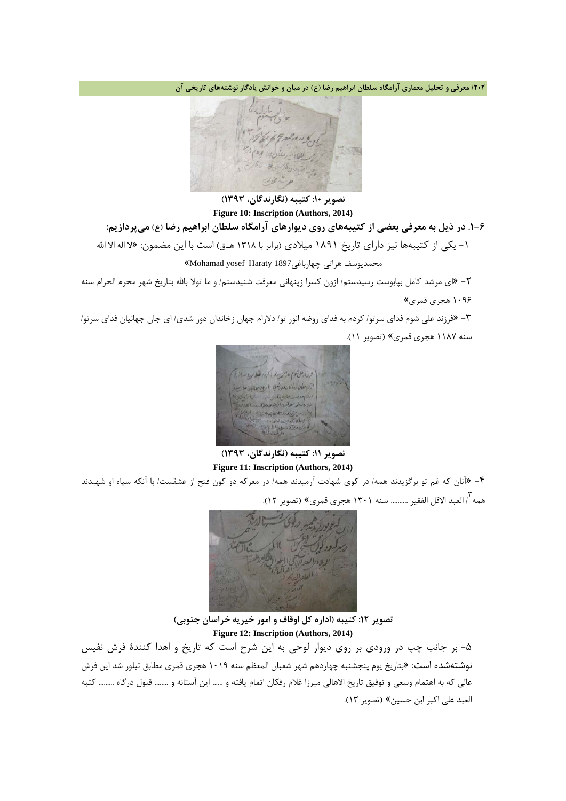**/202 معرفی و تحلیل معماري آرامگاه سلطان ابراهیم رضا (ع) در میان و خوانش یادگار نوشتههاي تاریخی آن**



**تصویر :10 کتیبه (نگارندگان، 1393) Figure 10: Inscription (Authors, 2014) .1-6 در ذیل به معرفی بعضی از کتیبههاي روي دیوارهاي آرامگاه سلطان ابراهیم رضا (ع) میپردازیم:** -1 یکی از کتیبهها نیز داراي تاریخ 1891 میلادي (برابر با 1318 هـ.ق) است با این مضمون: «لا اله الا االله محمدیوسف هراتی چهارباغی1897 Haraty yosef Mohamad«

-2 «اي مرشد کامل بپابوست رسیدستم/ ازون کسرا زپنهانی معرفت شنیدستم/ و ما تولا باالله بتاریخ شهر محرم الحرام سنه 1096 هجري قمري»

-3 «فرزند علی شوم فداي سرتو/ کردم به فداي روضه انور تو/ دلارام جهان زخاندان دور شدي/ اي جان جهانیان فداي سرتو/ سنه 1187 هجري قمري» (تصویر 11).



**تصویر :11 کتیبه (نگارندگان، 1393) Figure 11: Inscription (Authors, 2014)**

-4 «آنان که غم تو برگزیدند همه/ در کوي شهادت آرمیدند همه/ در معرکه دو کون فتح از عشقست/ با آنکه سپاه او شهیدند همه 3 / العبد الاقل الفقیر .......... سنه 1301 هجري قمري» (تصویر 12).



**تصویر :12 کتیبه (اداره کل اوقاف و امور خیریه خراسان جنوبی) Figure 12: Inscription (Authors, 2014)**

-5 بر جانب چپ در ورودي بر روي دیوار لوحی به این شرح است که تاریخ و اهدا کنندة فرش نفیس نوشتهشده است: «بتاریخ یوم پنجشنبه چهاردهم شهر شعبان المعظم سنه 1019 هجري قمري مطابق تبلور شد این فرش عالی که به اهتمام وسعی و توفیق تاریخ الاهالی میرزا غلام رفکان اتمام یافته و ...... این آستانه و ........ قبول درگاه ......... کتبه العبد علی اکبر ابن حسین» (تصویر 13).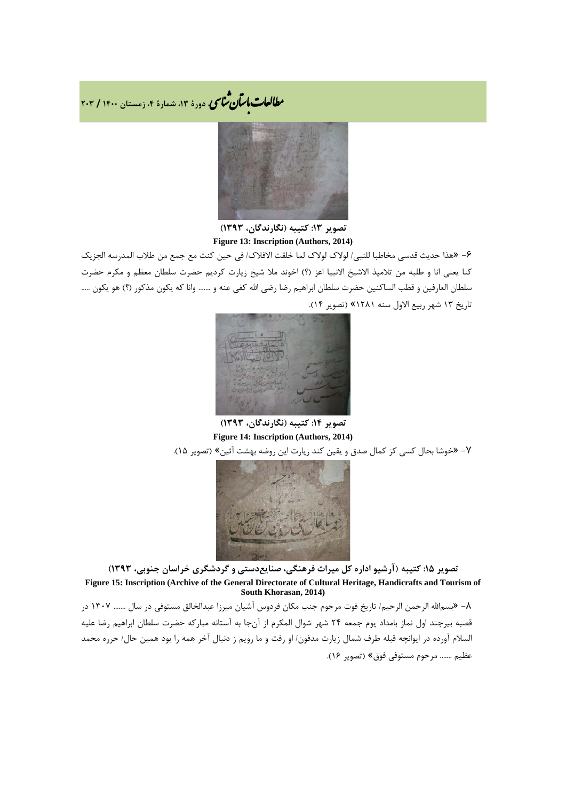**، دورة ،13 شمارة ،4 زمستان <sup>1400</sup> / <sup>203</sup>** �نا� �طا ی �عات با�تان



**تصویر :13 کتیبه (نگارندگان، 1393) Figure 13: Inscription (Authors, 2014)**

-6 «هذا حدیث قدسی مخاطبا للنبی/ لولاك لولاك لما خلقت الافلاك/ فی حین کنت مع جمع من طلاب المدرسه الجزیک کنا یعنی انا و طلبه من تلامیذ الاشیخ الانبیا اعز (؟) اخوند ملا شیخ زیارت کردیم حضرت سلطان معظم و مکرم حضرت سلطان العارفین و قطب الساکنین حضرت سلطان ابراهیم رضا رضی االله کفی عنه و ....... وانا که یکون مذکور (؟) هو یکون ..... تاریخ 13 شهر ربیع الاول سنه 1281» (تصویر 14).



**تصویر :14 کتیبه (نگارندگان، 1393) Figure 14: Inscription (Authors, 2014)**

-7 «خوشا بحال کسی کز کمال صدق و یقین کند زیارت این روضه بهشت آئین» (تصویر 15).



**تصویر :15 کتیبه (آرشیو اداره کل میراث فرهنگی، صنایعدستی و گردشگري خراسان جنوبی، 1393) Figure 15: Inscription (Archive of the General Directorate of Cultural Heritage, Handicrafts and Tourism of South Khorasan, 2014)**

-8 «بسماالله الرحمن الرحیم/ تاریخ فوت مرحوم جنب مکان فردوس آشیان میرزا عبدالخالق مستوفی در سال ....... 1307 در قصبه بیرجند اول نماز بامداد یوم جمعه 24 شهر شوال المکرم از آنجا به آستانه مبارکه حضرت سلطان ابراهیم رضا علیه السلام آورده در ایوانچه قبله طرف شمال زیارت مدفون/ او رفت و ما رویم ز دنبال آخر همه را بود همین حال/ حرره محمد عظیم ....... مرحوم مستوفی فوق» (تصویر 16).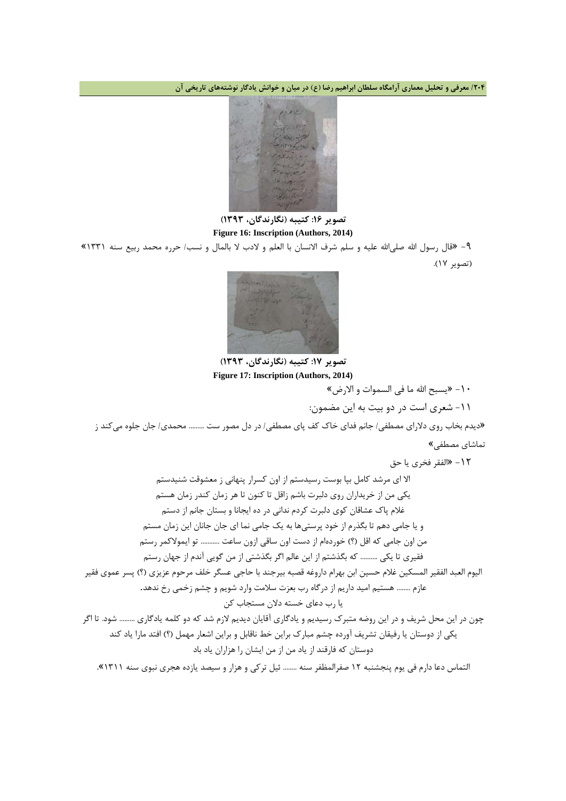**/204 معرفی و تحلیل معماري آرامگاه سلطان ابراهیم رضا (ع) در میان و خوانش یادگار نوشتههاي تاریخی آن**



### **تصویر :16 کتیبه (نگارندگان، 1393) Figure 16: Inscription (Authors, 2014)**

-9 «قال رسول االله صلیاالله علیه و سلم شرف الانسان با العلم و لادب لا بالمال و نسب/ حرره محمد ربیع سنه 1331» (تصویر 17).



**تصویر :17 کتیبه (نگارندگان، 1393) Figure 17: Inscription (Authors, 2014)**

-10 «یسبح االله ما فی السموات و الارض»

-11 شعري است در دو بیت به این مضمون:

«دیدم بخاب روي دلاراي مصطفی/ جانم فداي خاك کف پاي مصطفی/ در دل مصور ست ......... محمدي/ جان جلوه میکند ز تماشاي مصطفی»

-12 «الفقر فخري یا حق

الا اي مرشد کامل بپا بوست رسیدستم از اون کسرار پنهانی ز معشوقت شنیدستم یکی من از خریداران روي دلبرت باشم زاقل تا کنون تا هر زمان کندر زمان هستم غلام پاك عشاقان کوي دلبرت کردم ندانی در ده ایجانا و بستان جانم از دستم و یا جامی دهم تا بگذرم از خود پرستیها به یک جامی نما اي جان جانان این زمان مستم من اون جامی که اقل (؟) خوردهام از دست اون ساقی ازون ساعت ........... تو ایمولاکمر رستم فقیري تا یکی .......... که بگذشتم از این عالم اگر بگذشتی از من گویی آندم از جهان رستم الیوم العبد الفقیر المسکین غلام حسین ابن بهرام داروغه قصبه بیرجند با حاجی عسگر خلف مرحوم عزیزي (؟) پسر عموي فقیر عازم ........ هستیم امید داریم از درگاه رب بعزت سلامت وارد شویم و چشم زخمی رخ ندهد. یا رب دعاي خسته دلان مستجاب کن چون در این محل شریف و در این روضه متبرك رسیدیم و یادگاري آقایان دیدیم لازم شد که دو کلمه یادگاري ......... شود. تا اگر یکی از دوستان یا رفیقان تشریف آورده چشم مبارك براین خط ناقابل و براین اشعار مهمل (؟) افتد مارا یاد کند دوستان که فارقند از یاد من از من ایشان را هزاران یاد باد التماس دعا دارم فی یوم پنجشنبه 12 صفرالمظفر سنه ........ ئیل ترکی و هزار و سیصد یازده هجري نبوي سنه 1311».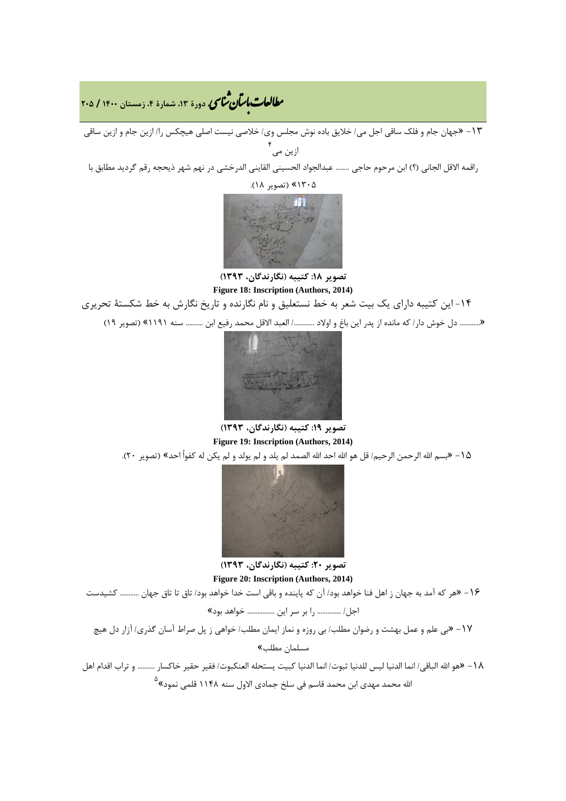## **، دورة ،13 شمارة ،4 زمستان <sup>1400</sup> / <sup>205</sup>** �نا� �طا ی �عات با�تان

-13 «جهان جام و فلک ساقی اجل می/ خلایق باده نوش مجلس وي/ خلاصی نیست اصلی هیچکس را/ ازین جام و ازین ساقی ۴<br>زین می

راقمه الاقل الجانی (؟) ابن مرحوم حاجی ........ عبدالجواد الحسینی القاینی الدرخشی در نهم شهر ذیحجه رقم گردید مطابق با

1305» (تصویر 18).



**تصویر :18 کتیبه (نگارندگان، 1393) Figure 18: Inscription (Authors, 2014)**

-14 این کتیبه داراي یک بیت شعر به خط نستعلیق و نام نگارنده و تاریخ نگارش به خط شکستۀ تحریري

«........... دل خوش دار/ که مانده از پدر این باغ و اولاد ............/ العبد الاقل محمد رفیع ابن .......... سنه ١١٩١» (تصویر ١٩)



**تصویر :19 کتیبه (نگارندگان، 1393) Figure 19: Inscription (Authors, 2014)**

-15 «بسم االله الرحمن الرحیم/ قل هو االله احد االله الصمد لم یلد و لم یولد و لم یکن له کفواً احد» (تصویر 20).



**تصویر :20 کتیبه (نگارندگان، 1393) Figure 20: Inscription (Authors, 2014)**

-16 «هر که آمد به جهان ز اهل فنا خواهد بود/ آن که پاینده و باقی است خدا خواهد بود/ تاق تا تاق جهان ........... کشیدست

اجل/ .............. را بر سر این ................ خواهد بود»

-17 «بی علم و عمل بهشت و رضوان مطلب/ بی روزه و نماز ایمان مطلب/ خواهی ز پل صراط آسان گذري/ آزار دل هیچ مسلمان مطلب»

-18 «هو االله الباقی/ انما الدنیا لیس للدنیا ثبوت/ انما الدنیا کبیت یستحله العنکبوت/ فقیر حقیر خاکسار .......... و تراب اقدام اهل ً الله محمد مهدی ابن محمد قاسم فی سلخ جمادی الاول سنه ۱۱۴۸ قلمی نمود<sup>»</sup>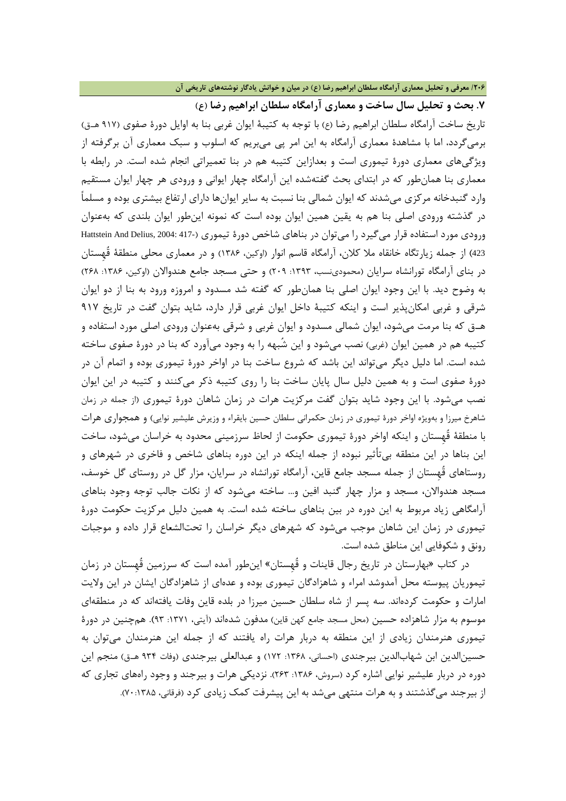**/206 معرفی و تحلیل معماري آرامگاه سلطان ابراهیم رضا (ع) در میان و خوانش یادگار نوشتههاي تاریخی آن**

**.7 بحث و تحلیل سال ساخت و معماري آرامگاه سلطان ابراهیم رضا (ع)**

تاریخ ساخت آرامگاه سلطان ابراهیم رضا (ع) با توجه به کتیبۀ ایوان غربی بنا به اوایل دورة صفوي (917 هـ.ق) برمیگردد، اما با مشاهدة معماري آرامگاه به این امر پی میبریم که اسلوب و سبک معماري آن برگرفته از ویژگیهاي معماري دورة تیموري است و بعدازاین کتیبه هم در بنا تعمیراتی انجام شده است. در رابطه با معماري بنا همانطور که در ابتداي بحث گفتهشده این آرامگاه چهار ایوانی و ورودي هر چهار ایوان مستقیم وارد گنبدخانه مرکزي میشدند که ایوان شمالی بنا نسبت به سایر ایوانها داراي ارتفاع بیشتري بوده و مسلماً در گذشته ورودي اصلی بنا هم به یقین همین ایوان بوده است که نمونه اینطور ایوان بلندي که بهعنوان ورودي مورد استفاده قرار می گیرد را میتوان در بناهاي شاخص دورهٔ تیموري (417- Hattstein And Delius, 2004: 417-<sup>423</sup>) از جمله زیارتگاه خانقاه ملا کلان، آرامگاه قاسم انوار (اوکین، 1386) و در معماري محلی منطقۀ قُهِستان در بنای آرامگاه تورانشاه سرایان (محمودینسب، ۱۳۹۳: ۲۰۹) و حتی مسجد جامع هندوالان (اوکین، ۱۳۸۶: ۲۶۸) به وضوح دید. با این وجود ایوان اصلی بنا همانطور که گفته شد مسدود و امروزه ورود به بنا از دو ایوان شرقی و غربی امکانپذیر است و اینکه کتیبۀ داخل ایوان غربی قرار دارد، شاید بتوان گفت در تاریخ 917 هـ.ق که بنا مرمت میشود، ایوان شمالی مسدود و ایوان غربی و شرقی بهعنوان ورودي اصلی مورد استفاده و کتیبه هم در همین ایوان (غربی) نصب میشود و این شُبهه را به وجود میآورد که بنا در دورة صفوي ساخته شده است. اما دلیل دیگر میتواند این باشد که شروع ساخت بنا در اواخر دورة تیموري بوده و اتمام آن در دورة صفوي است و به همین دلیل سال پایان ساخت بنا را روي کتیبه ذکر میکنند و کتیبه در این ایوان نصب میشود. با این وجود شاید بتوان گفت مرکزیت هرات در زمان شاهان دورة تیموري (از جمله در زمان شاهرخ میرزا و بهویژه اواخر دورة تیموري در زمان حکمرانی سلطان حسین بایقراء و وزیرش علیشیر نوایی) و همجواري هرات با منطقۀ قُهِستان و اینکه اواخر دورة تیموري حکومت از لحاظ سرزمینی محدود به خراسان میشود، ساخت این بناها در این منطقه بیتأثیر نبوده از جمله اینکه در این دوره بناهاي شاخص و فاخري در شهرهاي و روستاهاي قُهِستان از جمله مسجد جامع قاین، آرامگاه تورانشاه در سرایان، مزار گل در روستاي گل خوسف، مسجد هندوالان، مسجد و مزار چهار گنبد افین و... ساخته میشود که از نکات جالب توجه وجود بناهاي آرامگاهی زیاد مربوط به این دوره در بین بناهاي ساخته شده است. به همین دلیل مرکزیت حکومت دورة تیموري در زمان این شاهان موجب میشود که شهرهاي دیگر خراسان را تحتالشعاع قرار داده و موجبات رونق و شکوفایی این مناطق شده است.

در کتاب «بهارستان در تاریخ رجال قاینات و قُهِستان» اینطور آمده است که سرزمین قُهِستان در زمان تیموریان پیوسته محل آمدوشد امراء و شاهزادگان تیموري بوده و عدهاي از شاهزادگان ایشان در این ولایت امارات و حکومت کردهاند. سه پسر از شاه سلطان حسین میرزا در بلده قاین وفات یافتهاند که در منطقهاي موسوم به مزار شاهزاده حسین (محل مسجد جامع کهن قاین) مدفون شدهاند (آیتی، :1371 93). همچنین در دورة تیموري هنرمندان زیادي از این منطقه به دربار هرات راه یافتند که از جمله این هنرمندان میتوان به حسین|لدین ابن شهاب|لدین بیرجندی (احسانی، ۱۳۶۸: ۱۷۲) و عبدالعلی بیرجندی (وفات ۹۳۴ هـق) منجم این دوره در دربار علیشیر نوایی اشاره کرد (سروش، ۱۳۸۶: ۲۶۳). نزدیکی هرات و بیرجند و وجود راههای تجاری که از بیرجند میگذشتند و به هرات منتهی میشد به این پیشرفت کمک زیادي کرد (فرقانی، 70:1385).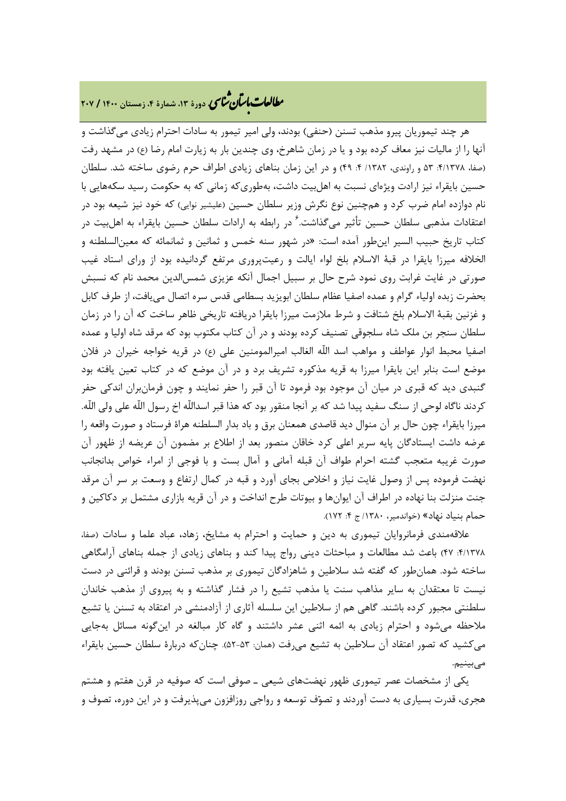# **، دورة ،13 شمارة ،4 زمستان <sup>1400</sup> / <sup>207</sup>** �نا� �طا ی �عات با�تان

هر چند تیموریان پیرو مذهب تسنن (حنفی) بودند، ولی امیر تیمور به سادات احترام زیادي میگذاشت و آنها را از مالیات نیز معاف کرده بود و یا در زمان شاهرخ، وي چندین بار به زیارت امام رضا (ع) در مشهد رفت (صفا، ۱۳۷۸: ۵۳ و راوندي، ۱۳۸۲/ ۴: ۴۹) و در این زمان بناهاي زیادي اطراف حرم رضوي ساخته شد. سلطان حسین بایقراء نیز ارادت ویژهاي نسبت به اهلبیت داشت، بهطوريکه زمانی که به حکومت رسید سکههایی با نام دوازده امام ضرب کرد و همچنین نوع نگرش وزیر سلطان حسین (علیشیر نوایی) که خود نیز شیعه بود در 6 اعتقادات مذهبی سلطان حسین تأثیر میگذاشت. در رابطه به ارادات سلطان حسین بایقراء به اهلبیت در کتاب تاریخ حبیب السیر اینطور آمده است: «در شهور سنه خمس و ثمانین و ثمانمائه که معینالسلطنه و الخلافه میرزا بایقرا در قبۀ الاسلام بلخ لواء ایالت و رعیتپرورى مرتفع گردانیده بود از وراى استاد غیب صورتى در غایت غرابت روى نمود شرح حال بر سبیل اجمال آنکه عزیزى شمسالدین محمد نام که نسبش بحضرت زبده اولیاء گرام و عمده اصفیا عظام سلطان ابویزید بسطامى قدس سره اتصال مىیافت، از طرف کابل و غزنین بقبۀ الاسلام بلخ شتافت و شرط ملازمت میرزا بایقرا دریافته تاریخى ظاهر ساخت که آن را در زمان سلطان سنجر بن ملک شاه سلجوقى تصنیف کرده بودند و در آن کتاب مکتوب بود که مرقد شاه اولیا و عمده اصفیا محبط انوار عواطف و مواهب اسد اللّه الغالب امیرالمومنین على (ع) در قریه خواجه خیران در فلان موضع است بنابر این بایقرا میرزا به قریه مذکوره تشریف برد و در آن موضع که در کتاب تعین یافته بود گنبدى دید که قبرى در میان آن موجود بود فرمود تا آن قبر را حفر نمایند و چون فرمانبران اندکى حفر کردند ناگاه لوحى از سنگ سفید پیدا شد که بر آنجا منقور بود که هذا قبر اسداللّه اخ رسول اللّه على ولى اللّه. میرزا بایقراء چون حال بر آن منوال دید قاصدى همعنان برق و باد بدار السلطنه هراة فرستاد و صورت واقعه را عرضه داشت ایستادگان پایه سریر اعلى کرد خاقان منصور بعد از اطلاع بر مضمون آن عریضه از ظهور آن صورت غریبه متعجب گشته احرام طواف آن قبله آمانى و آمال بست و با فوجى از امراء خواص بدانجانب نهضت فرموده پس از وصول غایت نیاز و اخلاص بجاى آورد و قبه در کمال ارتفاع و وسعت بر سر آن مرقد جنت منزلت بنا نهاده در اطراف آن ایوانها و بیوتات طرح انداخت و در آن قریه بازارى مشتمل بر دکاکین و حمام بنیاد نهاد» (خواندمیر، /1380 ج :4 172).

علاقهمندي فرمانروایان تیموري به دین و حمایت و احترام به مشایخ، زهاد، عباد علما و سادات (صفا، :4/1378 47) باعث شد مطالعات و مباحثات دینی رواج پیدا کند و بناهاي زیادي از جمله بناهاي آرامگاهی ساخته شود. همانطور که گفته شد سلاطین و شاهزادگان تیمورى بر مذهب تسنن بودند و قرائنى در دست نیست تا معتقدان به سایر مذاهب سنت یا مذهب تشیع را در فشار گذاشته و به پیروى از مذهب خاندان سلطنتى مجبور کرده باشند. گاهى هم از سلاطین این سلسله آثارى از آزادمنشى در اعتقاد به تسنن یا تشیع ملاحظه مىشود و احترام زیادي به ائمه اثنى عشر داشتند و گاه کار مبالغه در اینگونه مسائل بهجایی مىکشید که تصور اعتقاد آن سلاطین به تشیع مىرفت (همان: 52-53). چنانکه دربارة سلطان حسین بایقراء مىبینیم.

یکی از مشخصات عصر تیموري ظهور نهضتهاي شیعی ـ صوفی است که صوفیه در قرن هفتم و هشتم هجري، قدرت بسیاري به دست آوردند و تصوف توسعه و رواجى روزافزون مىپذیرفت و در این دوره، تصوف و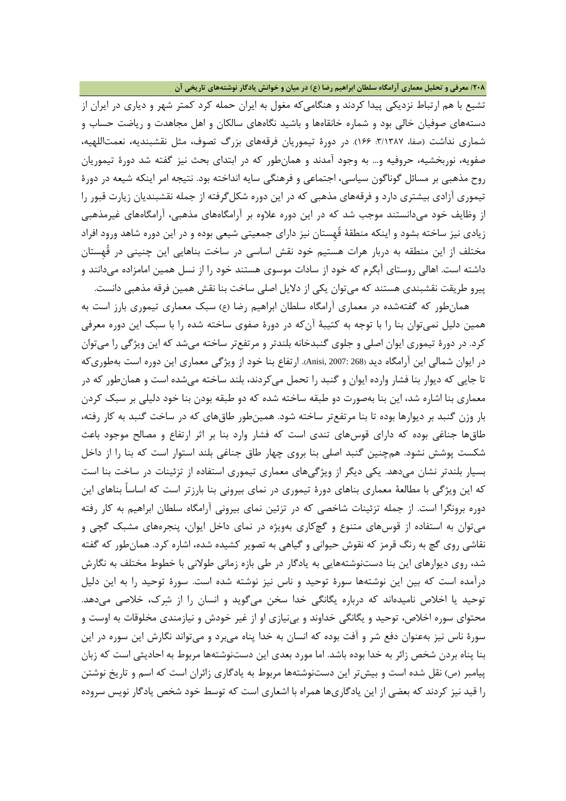**/208 معرفی و تحلیل معماري آرامگاه سلطان ابراهیم رضا (ع) در میان و خوانش یادگار نوشتههاي تاریخی آن**

تشیع با هم ارتباط نزدیکی پیدا کردند و هنگامیکه مغول به ایران حمله کرد کمتر شهر و دیارى در ایران از دستههاى صوفیان خالى بود و شماره خانقاهها و باشید نگاههاي سالکان و اهل مجاهدت و ریاضت حساب و شمارى نداشت (صفا، ٣/١٣٨٧: ١۶۶). در دورهٔ تیموریان فرقههای بزرگ تصوف، مثل نقشبندیه، نعمتاللهیه، صفویه، نوربخشیه، حروفیه و... به وجود آمدند و همانطور که در ابتداي بحث نیز گفته شد دورة تیموریان روح مذهبی بر مسائل گوناگون سیاسی، اجتماعی و فرهنگی سایه انداخته بود. نتیجه امر اینکه شیعه در دورة تیموري آزادي بیشتري دارد و فرقههاي مذهبی که در این دوره شکلگرفته از جمله نقشبندیان زیارت قبور را از وظایف خود میدانستند موجب شد که در این دوره علاوه بر آرامگاههاي مذهبی، آرامگاههاي غیرمذهبی زیادي نیز ساخته بشود و اینکه منطقۀ قُهِستان نیز داراي جمعیتی شیعی بوده و در این دوره شاهد ورود افراد مختلف از این منطقه به دربار هرات هستیم خود نقش اساسی در ساخت بناهایی این چنینی در قُهِستان داشته است. اهالی روستاي آبگرم که خود از سادات موسوي هستند خود را از نسل همین امامزاده میدانند و پیرو طریقت نقشبندي هستند که میتوان یکی از دلایل اصلی ساخت بنا نقش همین فرقه مذهبی دانست.

همانطور که گفتهشده در معماري آرامگاه سلطان ابراهیم رضا (ع) سبک معماري تیموري بارز است به همین دلیل نمیتوان بنا را با توجه به کتیبۀ آنکه در دورة صفوي ساخته شده را با سبک این دوره معرفی کرد. در دورة تیموري ایوان اصلی و جلوي گنبدخانه بلندتر و مرتفعتر ساخته میشد که این ویژگی را میتوان در ایوان شمالی این آرامگاه دید (268 2007: ,Anisi(. ارتفاع بنا خود از ویژگی معماري این دوره است بهطوريکه تا جایی که دیوار بنا فشار وارده ایوان و گنبد را تحمل میکردند، بلند ساخته میشده است و همانطور که در معماري بنا اشاره شد، این بنا بهصورت دو طبقه ساخته شده که دو طبقه بودن بنا خود دلیلی بر سبک کردن بار وزن گنبد بر دیوارها بوده تا بنا مرتفعتر ساخته شود. همینطور طاقهاي که در ساخت گنبد به کار رفته، طاقها جناغی بوده که داراي قوسهاي تندي است که فشار وارد بنا بر اثر ارتفاع و مصالح موجود باعث شکست پوشش نشود. همچنین گنبد اصلی بنا بروي چهار طاق جناغی بلند استوار است که بنا را از داخل بسیار بلندتر نشان میدهد. یکی دیگر از ویژگیهاي معماري تیموري استفاده از تزئینات در ساخت بنا است که این ویژگی با مطالعۀ معماري بناهاي دورة تیموري در نماي بیرونی بنا بارزتر است که اساساً بناهاي این دوره برونگرا است. از جمله تزئینات شاخصی که در تزئین نماي بیرونی آرامگاه سلطان ابراهیم به کار رفته میتوان به استفاده از قوسهاي متنوع و گچکاري بهویژه در نماي داخل ایوان، پنجرههاي مشبک گچی و نقاشی روي گچ به رنگ قرمز که نقوش حیوانی و گیاهی به تصویر کشیده شده، اشاره کرد. همانطور که گفته شد، روي دیوارهاي این بنا دستنوشتههایی به یادگار در طی بازه زمانی طولانی با خطوط مختلف به نگارش درآمده است که بین این نوشتهها سورة توحید و ناس نیز نوشته شده است. سورة توحید را به این دلیل توحید یا اخلاص نامیدهاند که درباره یگانگی خدا سخن میگوید و انسان را از شرك، خلاصی میدهد. محتواي سوره اخلاص، توحید و یگانگی خداوند و بینیازي او از غیر خودش و نیازمندي مخلوقات به اوست و سورة ناس نیز بهعنوان دفع شر و آفت بوده که انسان به خدا پناه میبرد و میتواند نگارش این سوره در این بنا پناه بردن شخص زائر به خدا بوده باشد. اما مورد بعدي این دستنوشتهها مربوط به احادیثی است که زبان پیامبر (ص) نقل شده است و بیشتر این دستنوشتهها مربوط به یادگاري زائران است که اسم و تاریخ نوشتن را قید نیز کردند که بعضی از این یادگاريها همراه با اشعاري است که توسط خود شخص یادگار نویس سروده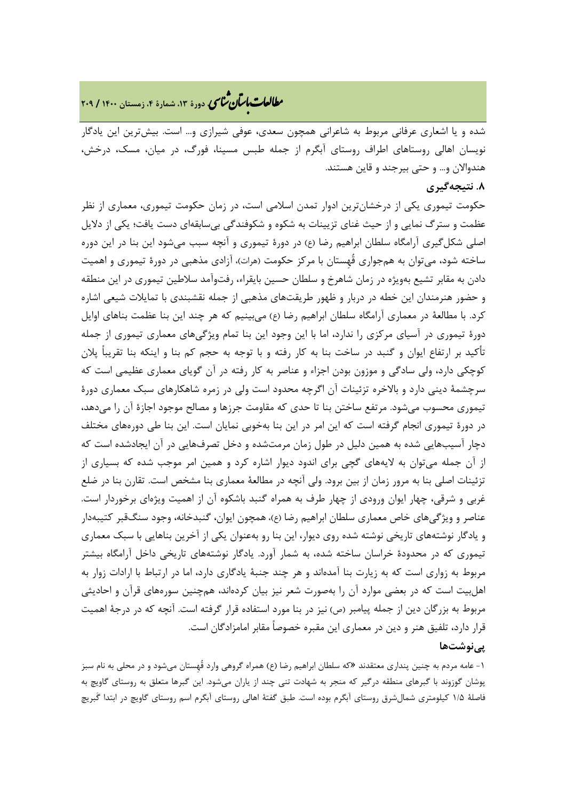# **، دورة ،13 شمارة ،4 زمستان <sup>1400</sup> / <sup>209</sup>** �نا� �طا ی �عات با�تان

شده و یا اشعاري عرفانی مربوط به شاعرانی همچون سعدي، عوفی شیرازي و... است. بیشترین این یادگار نویسان اهالی روستاهاي اطراف روستاي آبگرم از جمله طبس مسینا، فورگ، در میان، مسک، درخش، هندوالان و... و حتی بیرجند و قاین هستند.

### **.8 نتیجهگیري**

حکومت تیموري یکی از درخشانترین ادوار تمدن اسلامی است، در زمان حکومت تیموري، معماري از نظر عظمت و سترگ نمایی و از حیث غناي تزیینات به شکوه و شکوفندگی بیسابقهاي دست یافت؛ یکی از دلایل اصلی شکلگیري آرامگاه سلطان ابراهیم رضا (ع) در دورة تیموري و آنچه سبب میشود این بنا در این دوره ساخته شود، میتوان به همجواري قُهِستان با مرکز حکومت (هرات)، آزادي مذهبی در دورة تیموري و اهمیت دادن به مقابر تشیع بهویژه در زمان شاهرخ و سلطان حسین بایقراء، رفتوآمد سلاطین تیموري در این منطقه و حضور هنرمندان این خطه در دربار و ظهور طریقتهاي مذهبی از جمله نقشبندي با تمایلات شیعی اشاره کرد. با مطالعۀ در معماري آرامگاه سلطان ابراهیم رضا (ع) میبینیم که هر چند این بنا عظمت بناهاي اوایل دورة تیموري در آسیاي مرکزي را ندارد، اما با این وجود این بنا تمام ویژگیهاي معماري تیموري از جمله تأکید بر ارتفاع ایوان و گنبد در ساخت بنا به کار رفته و با توجه به حجم کم بنا و اینکه بنا تقریباً پلان کوچکی دارد، ولی سادگی و موزون بودن اجزاء و عناصر به کار رفته در آن گویاي معماري عظیمی است که سرچشمۀ دینی دارد و بالاخره تزئینات آن اگرچه محدود است ولی در زمره شاهکارهاي سبک معماري دورة تیموري محسوب میشود. مرتفع ساختن بنا تا حدي که مقاومت جرزها و مصالح موجود اجازة آن را میدهد، در دورة تیموري انجام گرفته است که این امر در این بنا بهخوبی نمایان است. این بنا طی دورههاي مختلف دچار آسیبهایی شده به همین دلیل در طول زمان مرمتشده و دخل تصرفهایی در آن ایجادشده است که از آن جمله میتوان به لایههاي گچی براي اندود دیوار اشاره کرد و همین امر موجب شده که بسیاري از تزئینات اصلی بنا به مرور زمان از بین برود. ولی آنچه در مطالعۀ معماري بنا مشخص است. تقارن بنا در ضلع غربی و شرقی، چهار ایوان ورودي از چهار طرف به همراه گنبد باشکوه آن از اهمیت ویژهاي برخوردار است. عناصر و ویژگیهاي خاص معماري سلطان ابراهیم رضا (ع)، همچون ایوان، گنبدخانه، وجود سنگقبر کتیبهدار و یادگار نوشتههاي تاریخی نوشته شده روي دیوار، این بنا رو بهعنوان یکی از آخرین بناهایی با سبک معماري تیموري که در محدودة خراسان ساخته شده، به شمار آورد. یادگار نوشتههاي تاریخی داخل آرامگاه بیشتر مربوط به زواري است که به زیارت بنا آمدهاند و هر چند جنبۀ یادگاري دارد، اما در ارتباط با ارادات زوار به اهلبیت است که در بعضی موارد آن را بهصورت شعر نیز بیان کردهاند، همچنین سورههاي قرآن و احادیثی مربوط به بزرگان دین از جمله پیامبر (ص) نیز در بنا مورد استفاده قرار گرفته است. آنچه که در درجۀ اهمیت قرار دارد، تلفیق هنر و دین در معماري این مقبره خصوصاً مقابر امامزادگان است.

### **پینوشتها**

-1 عامه مردم به چنین پنداري معتقدند «که سلطان ابراهیم رضا (ع) همراه گروهی وارد قُهِستان میشود و در محلی به نام سبز پوشان گوزوند با گبرهاي منطقه درگیر که منجر به شهادت تنی چند از یاران میشود. این گبرها متعلق به روستاي گاویچ به فاصلۀ 1/5 کیلومتري شمالشرق روستاي آبگرم بوده است. طبق گفتۀ اهالی روستاي آبگرم اسم روستاي گاویچ در ابتدا گَبریچ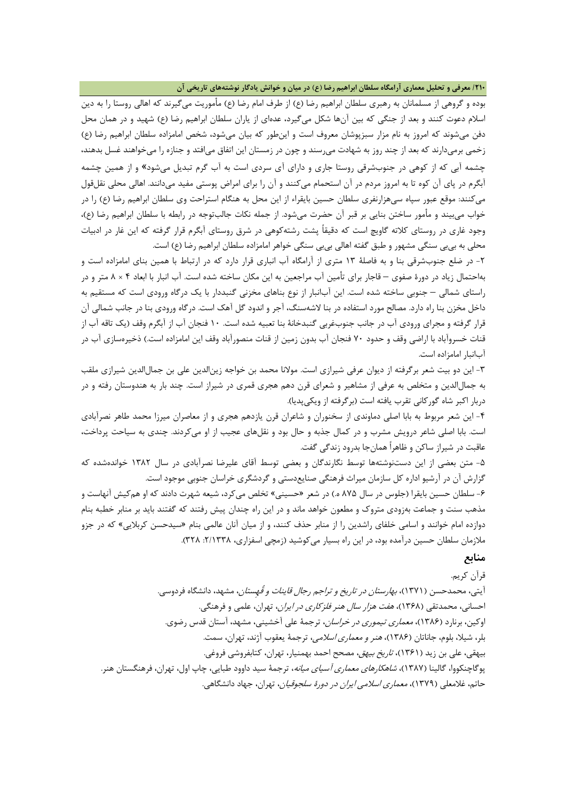**/210 معرفی و تحلیل معماري آرامگاه سلطان ابراهیم رضا (ع) در میان و خوانش یادگار نوشتههاي تاریخی آن**

بوده و گروهی از مسلمانان به رهبري سلطان ابراهیم رضا (ع) از طرف امام رضا (ع) مأموریت میگیرند که اهالی روستا را به دین اسلام دعوت کنند و بعد از جنگی که بین آنها شکل میگیرد، عدهاي از یاران سلطان ابراهیم رضا (ع) شهید و در همان محل دفن میشوند که امروز به نام مزار سبزپوشان معروف است و اینطور که بیان میشود، شخص امامزاده سلطان ابراهیم رضا (ع) زخمی برمیدارند که بعد از چند روز به شهادت میرسند و چون در زمستان این اتفاق میافتد و جنازه را میخواهند غسل بدهند، چشمه آبی که از کوهی در جنوبشرقی روستا جاري و داراي آي سردي است به آب گرم تبدیل میشود» و از همین چشمه آبگرم در پاي آن کوه تا به امروز مردم در آن استحمام میکنند و آن را براي امراض پوستی مفید میدانند. اهالی محلی نقلقول میکنند: موقع عبور سپاه سیهزارنفري سلطان حسین بایقراء از این محل به هنگام استراحت وي سلطان ابراهیم رضا (ع) را در خواب میبیند و مأمور ساختن بنایی بر قبر آن حضرت میشود. از جمله نکات جالبتوجه در رابطه با سلطان ابراهیم رضا (ع)، وجود غاري در روستاي کلاته گاویچ است که دقیقاً پشت رشتهکوهی در شرق روستاي آبگرم قرار گرفته که این غار در ادبیات محلی به بیبی سنگی مشهور و طبق گفته اهالی بیبی سنگی خواهر امامزاده سلطان ابراهیم رضا (ع) است.

-2 در ضلع جنوبشرقی بنا و به فاصلۀ 13 متري از آرامگاه آب انباري قرار دارد که در ارتباط با همین بناي امامزاده است و بهاحتمال زیاد در دورة صفوي – قاجار براي تأمین آب مراجعین به این مکان ساخته شده است. آب انبار با ابعاد 4 × 8 متر و در راستاي شمالی – جنوبی ساخته شده است. این آبانبار از نوع بناهاي مخزنی گنبددار با یک درگاه ورودي است که مستقیم به داخل مخزن بنا راه دارد. مصالح مورد استفاده در بنا لاشهسنگ، آجر و اندود گل آهک است. درگاه ورودي بنا در جانب شمالی آن قرار گرفته و مجراي ورودي آب در جانب جنوبغربی گنبدخانۀ بنا تعبیه شده است. 10 فنجان آب از آبگرم وقف (یک تاقه آب از قنات خسروآباد با اراضی وقف و حدود 70 فنجان آب بدون زمین از قنات منصورآباد وقف این امامزاده است.) ذخیرهسازي آب در آبانبار امامزاده است.

-3 این دو بیت شعر برگرفته از دیوان عرفی شیرازي است. مولانا محمد بن خواجه زینالدین علی بن جمالالدین شیرازي ملقب به جمالالدین و متخلص به عرفی از مشاهیر و شعراي قرن دهم هجري قمري در شیراز است. چند بار به هندوستان رفته و در دربار اکبر شاه گورکانی تقرب یافته است (برگرفته از ویکیپدیا).

-4 این شعر مربوط به بابا اصلی دماوندي از سخنوران و شاعران قرن یازدهم هجري و از معاصران میرزا محمد طاهر نصرآبادي است. بابا اصلی شاعر درویش مشرب و در کمال جذبه و حال بود و نقلهاي عجیب از او میکردند. چندي به سیاحت پرداخت، عاقبت در شیراز ساکن و ظاهراً همانجا بدرود زندگی گفت.

-5 متن بعضی از این دستنوشتهها توسط نگارندگان و بعضی توسط آقاي علیرضا نصرآبادي در سال 1382 خواندهشده که گزارش آن در آرشیو اداره کل سازمان میراث فرهنگی صنایعدستی و گردشگري خراسان جنوبی موجود است.

-6 سلطان حسین بایقرا (جلوس در سال 875 ه.) در شعر «حسینى» تخلص مىکرد، شیعه شهرت دادند که او همکیش آنهاست و مذهب سنت و جماعت بهزودي متروك و مطعون خواهد ماند و در این راه چندان پیش رفتند که گفتند باید بر منابر خطبه بنام دوازده امام خوانند و اسامى خلفاى راشدین را از منابر حذف کنند، و از میان آنان عالمى بنام «سیدحسن کربلایى» که در جزو ملازمان سلطان حسین درآمده بود، در این راه بسیار مىکوشید (زمچى اسفزارى، ۲۳۲۸. ۳۲۸).

### **منابع**

قرآن کریم. آیتی، محمدحسن (1371)، بهارستان در تاریخ و تراجم رجال قاینات و قُهِستان، مشهد، دانشگاه فردوسی. احسانی، محمدتقی (1368)، هفت هزار سال هنر فلزکاري در ایران، تهران، علمی و فرهنگی. اوکین، برنارد (1386)، معماري تیموري در خراسان، ترجمۀ علی آخشینی، مشهد، آستان قدس رضوي. بلر، شیلا، بلوم، جاناتان (1386)، هنر و معماري اسلامی، ترجمۀ یعقوب آژند، تهران، سمت. بیهقى، على بن زید (1361)، تاریخ بیهق، مصحح احمد بهمنیار، تهران، کتابفروشی فروغی. پوگاچنکووا، گالینا (1387)، شاهکارهاي معماري آسیاي میانه، ترجمۀ سید داوود طبایی، چاپ اول، تهران، فرهنگستان هنر. حاتم، غلامعلی (1379)، معماري اسلامی ایران در دورة سلجوقیان، تهران، جهاد دانشگاهی.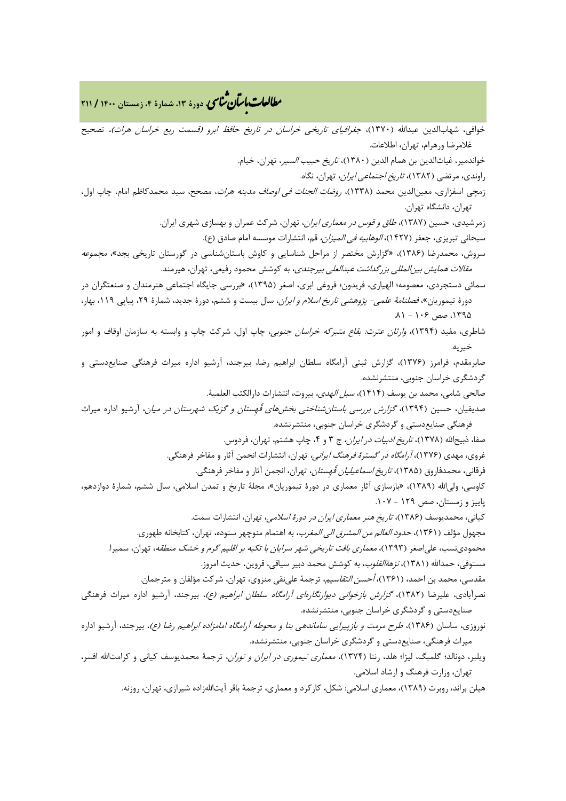## **، دورة ،13 شمارة ،4 زمستان <sup>1400</sup> / <sup>211</sup>** �نا� �طا ی �عات با�تان

خوافی، شهابالدین عبدالله (۱۳۷۰)، *جغرافیای تاریخی خراسان در تاریخ حافظ ابرو (قسمت ربع خراسان هرات)،* تصحیح غلامرضا ورهرام، تهران، اطلاعات. خواندمیر، غیاثالدین بن همام الدین (1380)، تاریخ حبیب السیر، تهران، خیام. راوندى، مرتضى (١٣٨٢)، *تاريخ اجتماعى ايران*، تهران، نگاه. زمچى اسفزارى، معینالدین محمد (1338)، روضات الجنات فی اوصاف مدینه هرات، مصحح، سید محمدکاظم امام، چاپ اول، تهران، دانشگاه تهران. زمرشیدي، حسین (1387)، طاق و قوس در معماري ایران، تهران، شرکت عمران و بهسازي شهري ایران. سبحانی تبریزي، جعفر (1427)، الوهابیه فی المیزان، قم، انتشارات موسسه امام صادق (ع). سروش، محمدرضا (1386)، «گزارش مختصر از مراحل شناسایی و کاوش باستانشناسی در گورستان تاریخی بجد»، مجموعه مقالات همایش بینالمللی بزرگداشت عبدالعلی بیرجندي، به کوشش محمود رفیعی، تهران، هیرمند. سمائی دستجردي، معصومه؛ الهیاري، فریدون؛ فروغی ابري، اصغر (1395)، «بررسی جایگاه اجتماعی هنرمندان و صنعتگران در دورهٔ تیموریان»، *فصلنامۀ علمی- پژوهشی تاریخ اسلام و ایران*، سال بیست و ششم، دورهٔ جدید، شمارهٔ ۲۹، پیاپی ۱۱۱۹، بهار، ۱۳۹۵، صص ۱۰۶ - ۸۱. شاطري، مفید (1394)، وارثان عترت: بقاع متبرکه خراسان جنوبی، چاپ اول، شرکت چاپ و وابسته به سازمان اوقاف و امور خیریه. صابرمقدم، فرامرز (1376)، گزارش ثبتی آرامگاه سلطان ابراهیم رضا، بیرجند، آرشیو اداره میراث فرهنگی صنایعدستی و گردشگري خراسان جنوبی، منتشرنشده. صالحى شامى، محمد بن یوسف (1414)، سبل الهدى، بیروت، انتشارات دارالکتب العلمیۀ. صدیقیان، حسین (1394)، گزارش بررسی باستانشناختی بخشهاي قُهِستان و گزیک شهرستان در میان، آرشیو اداره میراث فرهنگی صنایعدستی و گردشگري خراسان جنوبی، منتشرنشده. صفا، ذبیحالله (۱۳۷۸)، *تاریخ ادبیات در ایران،* ج ۳ و ۴، چاپ هشتم، تهران، فردوس. غروي، مهدي (1376)، آرامگاه در گسترة فرهنگ ایرانی، تهران، انتشارات انجمن آثار و مفاخر فرهنگی. فرقانی، محمدفاروق (1385)، تاریخ اسماعیلیان قُهِستان، تهران، انجمن آثار و مفاخر فرهنگی. کاوسی، ولیاالله (1389)، «بازسازي آثار معماري در دورة تیموریان»، مجلۀ تاریخ و تمدن اسلامی، سال ششم، شمارة دوازدهم، پاییز و زمستان، صص 129 - .107 کیانی، محمدیوسف (1386)، تاریخ هنر معماري ایران در دورة اسلامی، تهران، انتشارات سمت. مجهول مؤلف (۱۳۶۱)، *حدود العالم من المشرق الی المغرب*، به اهتمام منوچهر ستوده، تهران، کتابخانه طهوری. محمودینسب، علی اصغر (۱۳۹۳)، *معماری بافت تاریخی شهر سرایان با تکیه بر اقلیم گرم و خشک منطقه*، تهران، سمیرا. مستوفی، حمدالله (۱۳۸۱)، *نزهةالقلوب*، به کوشش محمد دبیر سیاقی، قروین، حدیث امروز. مقدسی، محمد بن احمد، (۱۳۶۱)، *أحسن التقاسیم*، ترجمۀ علیiقی منزوی، تهران، شرکت مؤلفان و مترجمان. نصرآبادي، علیرضا (1382)، گزارش بازخوانی دیوارنگارهاي آرامگاه سلطان ابراهیم (ع)، بیرجند، آرشیو اداره میراث فرهنگی صنایعدستی و گردشگري خراسان جنوبی، منتشرنشده. نوروزي، ساسان (1386)، طرح مرمت و بازپیرایی ساماندهی بنا و محوطه آرامگاه امامزاده ابراهیم رضا (ع)، بیرجند، آرشیو اداره میراث فرهنگی، صنایعدستی و گردشگري خراسان جنوبی، منتشرنشده. ویلبر، دونالد؛ گلمبگ، لیزا؛ هلد، رنتا (1374)، معماري تیموري در ایران و توران، ترجمۀ محمدیوسف کیانی و کرامتاالله افسر،

هیلن براند، روبرت (1389)، معماري اسلامی: شکل، کارکرد و معماري، ترجمۀ باقر آیتااللهزاده شیرازي، تهران، روزنه.

تهران، وزارت فرهنگ و ارشاد اسلامی.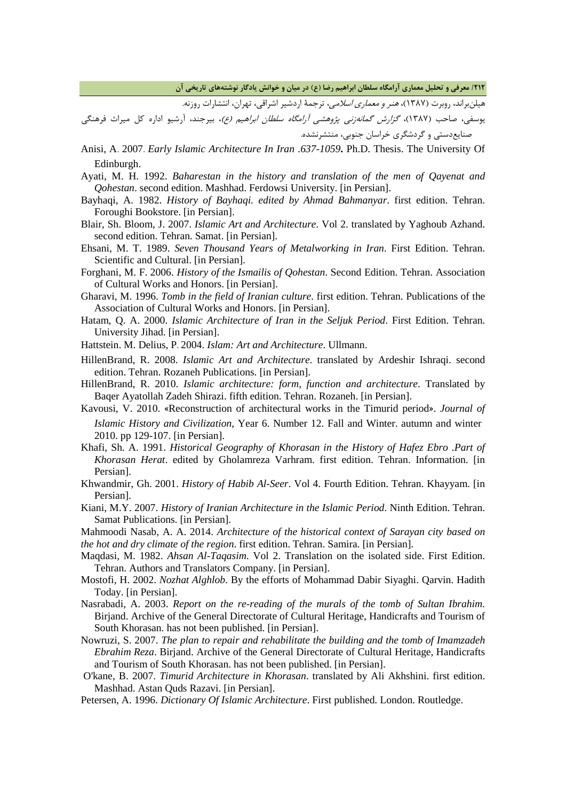**/212 معرفی و تحلیل معماري آرامگاه سلطان ابراهیم رضا (ع) در میان و خوانش یادگار نوشتههاي تاریخی آن**

هیلنبراند، روبرت (۱۳۸۷)، *هنر و معماری اسلامی*، ترجمۀ اردشیر اشراقی، تهران، انتشارات روزنه.

یوسفی، صاحب (1387)، گزارش گمانهزنی پژوهشی آرامگاه سلطان ابراهیم (ع)، بیرجند، آرشیو اداره کل میراث فرهنگی صنایعدستی و گردشگري خراسان جنوبی، منتشرنشده.

- Anisi, A. 2007. *Early Islamic Architecture In Iran .637-1059***.** Ph.D. Thesis. The University Of Edinburgh.
- Ayati, M. H. 1992. *Baharestan in the history and translation of the men of Qayenat and Qohestan*. second edition. Mashhad. Ferdowsi University. [in Persian].
- Bayhaqi, A. 1982. *History of Bayhaqi. edited by Ahmad Bahmanyar*. first edition. Tehran. Foroughi Bookstore. [in Persian].
- Blair, Sh. Bloom, J. 2007. *Islamic Art and Architecture*. Vol 2. translated by Yaghoub Azhand. second edition. Tehran. Samat. [in Persian].
- Ehsani, M. T. 1989. *Seven Thousand Years of Metalworking in Iran*. First Edition. Tehran. Scientific and Cultural. [in Persian].
- Forghani, M. F. 2006. *History of the Ismailis of Qohestan*. Second Edition. Tehran. Association of Cultural Works and Honors. [in Persian].
- Gharavi, M. 1996. *Tomb in the field of Iranian culture*. first edition. Tehran. Publications of the Association of Cultural Works and Honors. [in Persian].
- Hatam, Q. A. 2000. *Islamic Architecture of Iran in the Seljuk Period*. First Edition. Tehran. University Jihad. [in Persian].
- Hattstein. M. Delius, P. 2004. *Islam: Art and Architecture*. Ullmann.
- HillenBrand, R. 2008. *Islamic Art and Architecture*. translated by Ardeshir Ishraqi. second edition. Tehran. Rozaneh Publications. [in Persian].
- HillenBrand, R. 2010. *Islamic architecture: form, function and architecture*. Translated by Baqer Ayatollah Zadeh Shirazi. fifth edition. Tehran. Rozaneh. [in Persian].
- Kavousi, V. 2010. «Reconstruction of architectural works in the Timurid period». *Journal of Islamic History and Civilization*, Year 6. Number 12. Fall and Winter. autumn and winter 2010. pp 129-107. [in Persian].
- Khafi, Sh. A. 1991. *Historical Geography of Khorasan in the History of Hafez Ebro .Part of Khorasan Herat*. edited by Gholamreza Varhram. first edition. Tehran. Information. [in Persian].
- Khwandmir, Gh. 2001. *History of Habib Al-Seer*. Vol 4. Fourth Edition. Tehran. Khayyam. [in Persian].
- Kiani, M.Y. 2007. *History of Iranian Architecture in the Islamic Period*. Ninth Edition. Tehran. Samat Publications. [in Persian].

Mahmoodi Nasab, A. A. 2014. *Architecture of the historical context of Sarayan city based on the hot and dry climate of the region*. first edition. Tehran. Samira. [in Persian].

- Maqdasi, M. 1982. *Ahsan Al-Taqasim*. Vol 2. Translation on the isolated side. First Edition. Tehran. Authors and Translators Company. [in Persian].
- Mostofi, H. 2002. *Nozhat Alghlob*. By the efforts of Mohammad Dabir Siyaghi. Qarvin. Hadith Today. [in Persian].
- Nasrabadi, A. 2003. *Report on the re-reading of the murals of the tomb of Sultan Ibrahim*. Birjand. Archive of the General Directorate of Cultural Heritage, Handicrafts and Tourism of South Khorasan. has not been published. [in Persian].
- Nowruzi, S. 2007. *The plan to repair and rehabilitate the building and the tomb of Imamzadeh Ebrahim Reza*. Birjand. Archive of the General Directorate of Cultural Heritage, Handicrafts and Tourism of South Khorasan. has not been published. [in Persian].
- O'kane, B. 2007. *Timurid Architecture in Khorasan*. translated by Ali Akhshini. first edition. Mashhad. Astan Quds Razavi. [in Persian].
- Petersen, A. 1996. *Dictionary Of Islamic Architecture*. First published. London. Routledge.